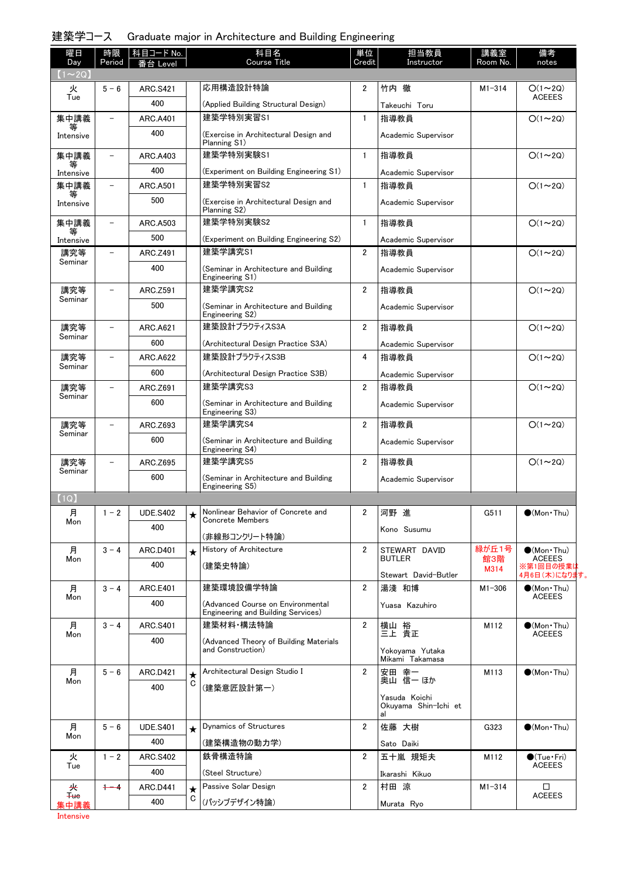### 建築学コース Graduate major in Architecture and Building Engineering

| 曜日<br>Day      | 時限<br>Period             | 科目コード No.<br>番台 Level |              | 科目名<br>Course Title                                                     | 単位<br>Credit   | 担当教員<br>Instructor                    | 講義室<br>Room No. | 備考<br>notes                           |
|----------------|--------------------------|-----------------------|--------------|-------------------------------------------------------------------------|----------------|---------------------------------------|-----------------|---------------------------------------|
| $(1\sim 2Q)$   |                          |                       |              |                                                                         |                |                                       |                 |                                       |
| 火<br>Tue       | $5 - 6$                  | <b>ARC.S421</b>       |              | 応用構造設計特論                                                                | $\overline{2}$ | 竹内 徹                                  | $M1 - 314$      | $O(1\sim 2Q)$<br><b>ACEEES</b>        |
|                |                          | 400                   |              | (Applied Building Structural Design)                                    |                | Takeuchi Toru                         |                 |                                       |
| 集中講義           |                          | <b>ARC.A401</b>       |              | 建築学特別実習S1                                                               | $\mathbf{1}$   | 指導教員                                  |                 | $O(1\sim 2Q)$                         |
| Intensive      |                          | 400                   |              | (Exercise in Architectural Design and<br>Planning S1)                   |                | Academic Supervisor                   |                 |                                       |
| 集中講義           |                          | <b>ARC.A403</b>       |              | 建築学特別実験S1                                                               | $\mathbf{1}$   | 指導教員                                  |                 | $O(1\sim 2Q)$                         |
| Intensive      |                          | 400                   |              | (Experiment on Building Engineering S1)                                 |                | Academic Supervisor                   |                 |                                       |
| 集中講義           | $\overline{\phantom{0}}$ | <b>ARC.A501</b>       |              | 建築学特別実習S2                                                               | $\mathbf{1}$   | 指導教員                                  |                 | $O(1\sim 2Q)$                         |
| 等<br>Intensive |                          | 500                   |              | (Exercise in Architectural Design and                                   |                | Academic Supervisor                   |                 |                                       |
|                |                          |                       |              | Planning S2)                                                            |                |                                       |                 |                                       |
| 集中講義<br>等      | $\overline{\phantom{0}}$ | <b>ARC.A503</b>       |              | 建築学特別実験S2                                                               | $\mathbf{1}$   | 指導教員                                  |                 | $O(1\sim 2Q)$                         |
| Intensive      |                          | 500                   |              | (Experiment on Building Engineering S2)                                 |                | Academic Supervisor                   |                 |                                       |
| 講究等<br>Seminar | $\overline{\phantom{0}}$ | ARC.Z491              |              | 建築学講究S1                                                                 | $\overline{2}$ | 指導教員                                  |                 | $O(1\sim 2Q)$                         |
|                |                          | 400                   |              | (Seminar in Architecture and Building<br>Engineering S1)                |                | Academic Supervisor                   |                 |                                       |
| 講究等            | $\overline{\phantom{0}}$ | ARC.Z591              |              | 建築学講究S2                                                                 | $\overline{2}$ | 指導教員                                  |                 | $O(1\sim 2Q)$                         |
| Seminar        |                          | 500                   |              | (Seminar in Architecture and Building                                   |                | Academic Supervisor                   |                 |                                       |
| 講究等            | $\overline{\phantom{0}}$ | <b>ARC.A621</b>       |              | Engineering S2)<br>建築設計プラクティスS3A                                        | $\overline{2}$ | 指導教員                                  |                 | $O(1\sim 2Q)$                         |
| Seminar        |                          | 600                   |              |                                                                         |                |                                       |                 |                                       |
| 講究等            |                          | <b>ARC.A622</b>       |              | (Architectural Design Practice S3A)<br>建築設計プラクティスS3B                    | 4              | Academic Supervisor                   |                 | $O(1\sim 2Q)$                         |
| Seminar        |                          | 600                   |              |                                                                         |                | 指導教員                                  |                 |                                       |
|                |                          |                       |              | (Architectural Design Practice S3B)<br>建築学講究S3                          | $\overline{2}$ | Academic Supervisor                   |                 |                                       |
| 講究等<br>Seminar |                          | ARC.Z691              |              |                                                                         |                | 指導教員                                  |                 | $O(1\sim 2Q)$                         |
|                |                          | 600                   |              | (Seminar in Architecture and Building<br>Engineering S3)                |                | Academic Supervisor                   |                 |                                       |
| 講究等<br>Seminar |                          | ARC.Z693              |              | 建築学講究S4                                                                 | $\overline{2}$ | 指導教員                                  |                 | $O(1\sim 2Q)$                         |
|                |                          | 600                   |              | (Seminar in Architecture and Building<br>Engineering S4)                |                | Academic Supervisor                   |                 |                                       |
| 講究等            |                          | ARC.Z695              |              | 建築学講究S5                                                                 | $\overline{2}$ | 指導教員                                  |                 | $O(1\sim 2Q)$                         |
| Seminar        |                          | 600                   |              | (Seminar in Architecture and Building                                   |                | Academic Supervisor                   |                 |                                       |
|                |                          |                       |              | Engineering S5)                                                         |                |                                       |                 |                                       |
| (1Q)           |                          |                       |              |                                                                         |                |                                       |                 |                                       |
| 月<br>Mon       | $1 - 2$                  | <b>UDE.S402</b>       | ★            | Nonlinear Behavior of Concrete and<br><b>Concrete Members</b>           | 2              | 河野 進                                  | G511            | $\bullet$ (Mon•Thu)                   |
|                |                          | 400                   |              | (非線形コンクリート特論)                                                           |                | Kono Susumu                           |                 |                                       |
| 月              | $3 - 4$                  | <b>ARC.D401</b>       | $\star$      | History of Architecture                                                 | $\overline{2}$ | STEWART DAVID                         | 緑が丘1号           | $\bullet$ (Mon Thu)                   |
| Mon            |                          | 400                   |              | (建築史特論)                                                                 |                | <b>BUTLER</b>                         | 館3階<br>M314     | <b>ACEEES</b><br>※第1回目の授業は            |
|                |                          |                       |              |                                                                         |                | Stewart David-Butler                  |                 | 4月6日 (木)になります。                        |
| 月<br>Mon       | $3 - 4$                  | <b>ARC.E401</b>       |              | 建築環境設備学特論                                                               | 2              | 湯淺 和博                                 | $M1 - 306$      | $\bullet$ (Mon Thu)<br><b>ACEEES</b>  |
|                |                          | 400                   |              | (Advanced Course on Environmental<br>Engineering and Building Services) |                | Yuasa Kazuhiro                        |                 |                                       |
| 月              | $3 - 4$                  | <b>ARC.S401</b>       |              | 建築材料·構法特論                                                               | $\overline{2}$ | 横山 裕<br>三上 貴正                         | M112            | $\bigcirc$ (Mon Thu)                  |
| Mon            |                          | 400                   |              | (Advanced Theory of Building Materials                                  |                |                                       |                 | <b>ACEEES</b>                         |
|                |                          |                       |              | and Construction)                                                       |                | Yokoyama Yutaka                       |                 |                                       |
|                |                          |                       |              |                                                                         |                |                                       |                 |                                       |
|                |                          |                       |              | Architectural Design Studio I                                           | $\overline{2}$ | Mikami Takamasa                       |                 |                                       |
| 月<br>Mon       | $5 - 6$                  | <b>ARC.D421</b>       | $\star$<br>С |                                                                         |                | 安田 幸一<br>奥山 信一 ほか                     | M113            | $\bullet$ (Mon Thu)                   |
|                |                          | 400                   |              | (建築意匠設計第一)                                                              |                | Yasuda Koichi<br>Okuyama Shin-Ichi et |                 |                                       |
| 月              | $5 - 6$                  | <b>UDE.S401</b>       |              | Dynamics of Structures                                                  | 2              | al<br>佐藤 大樹                           | G323            | $\bullet$ (Mon Thu)                   |
| Mon            |                          | 400                   | ★            | (建築構造物の動力学)                                                             |                |                                       |                 |                                       |
| 火              | $1 - 2$                  | <b>ARC.S402</b>       |              | 鉄骨構造特論                                                                  | 2              | Sato Daiki<br>五十嵐 規矩夫                 | M112            |                                       |
| Tue            |                          | 400                   |              | (Steel Structure)                                                       |                |                                       |                 | $\bigcirc$ (Tue·Fri)<br><b>ACEEES</b> |
| 夹              | $+ - 4$                  | <b>ARC.D441</b>       | $\star$      | Passive Solar Design                                                    | $\overline{2}$ | Ikarashi Kikuo<br>村田 涼                | $M1 - 314$      | □                                     |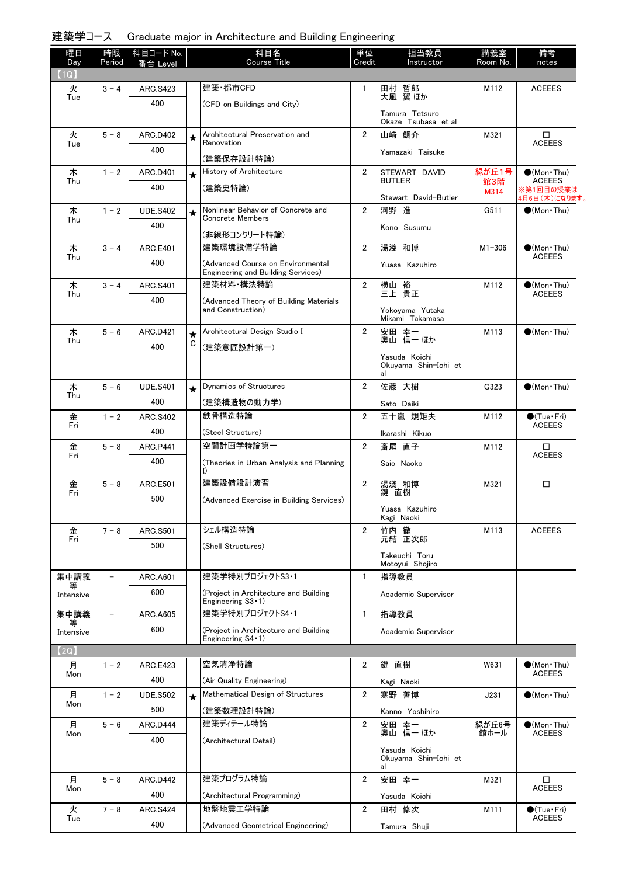### 建築学コース Graduate major in Architecture and Building Engineering

| 曜日<br>Day   | 時限      | 科目コード No.              |         | 科目名<br><b>Course Title</b>                                          | 単位<br>Credit          | 担当教員                                  | 講義室        | 備考                                      |
|-------------|---------|------------------------|---------|---------------------------------------------------------------------|-----------------------|---------------------------------------|------------|-----------------------------------------|
| (1Q)        | Period  | ≸台 Level               |         |                                                                     |                       | Instructor                            | Room No.   | notes                                   |
| 火           | $3 - 4$ | <b>ARC.S423</b>        |         | 建築·都市CFD                                                            | $\mathbf{1}$          | 田村 哲郎                                 | M112       | <b>ACEEES</b>                           |
| Tue         |         | 400                    |         | (CFD on Buildings and City)                                         |                       | 大風 翼ほか                                |            |                                         |
|             |         |                        |         |                                                                     |                       | Tamura Tetsuro<br>Okaze Tsubasa et al |            |                                         |
| 火           | $5 - 8$ | <b>ARC.D402</b>        | ★       | Architectural Preservation and                                      | $\mathbf{2}^{\prime}$ | 山﨑 鯛介                                 | M321       | □                                       |
| Tue         |         | 400                    |         | Renovation                                                          |                       | Yamazaki Taisuke                      |            | <b>ACEEES</b>                           |
|             |         |                        |         | (建築保存設計特論)<br>History of Architecture                               | $\overline{2}$        | STEWART DAVID                         | 緑が丘1号      |                                         |
| 木<br>Thu    | $1 - 2$ | <b>ARC.D401</b><br>400 | $\star$ |                                                                     |                       | <b>BUTLER</b>                         | 館3階        | $\bullet$ (Mon Thu)<br><b>ACEEES</b>    |
|             |         |                        |         | (建築史特論)                                                             |                       | Stewart David-Butler                  | M314       | ※第1回目の授業は<br>4月6日 (木)になります。             |
| 木           | $1 - 2$ | <b>UDE.S402</b>        | ★       | Nonlinear Behavior of Concrete and<br><b>Concrete Members</b>       | $\overline{2}$        | 河野 進                                  | G511       | $\bullet$ (Mon Thu)                     |
| Thu         |         | 400                    |         |                                                                     |                       | Kono Susumu                           |            |                                         |
| 木           | $3 - 4$ | <b>ARC.E401</b>        |         | (非線形コンクリート特論)<br>建築環境設備学特論                                          | $\overline{2}$        | 湯淺 和博                                 | $M1 - 306$ | $\bullet$ (Mon Thu)                     |
| Thu         |         | 400                    |         | (Advanced Course on Environmental                                   |                       |                                       |            | <b>ACEEES</b>                           |
|             |         |                        |         | Engineering and Building Services)                                  |                       | Yuasa Kazuhiro                        |            |                                         |
| 木<br>Thu    | $3 - 4$ | <b>ARC.S401</b>        |         | 建築材料・構法特論                                                           | $\overline{2}$        | 横山 裕<br>三上 貴正                         | M112       | $\bullet$ (Mon Thu)<br><b>ACEEES</b>    |
|             |         | 400                    |         | (Advanced Theory of Building Materials<br>and Construction)         |                       |                                       |            |                                         |
|             |         |                        |         |                                                                     |                       | Yokovama Yutaka<br>Mikami Takamasa    |            |                                         |
| 木           | $5 - 6$ | <b>ARC.D421</b>        | ★       | Architectural Design Studio I                                       | $\overline{2}$        | 安田 幸一                                 | M113       | $\bigcirc$ (Mon Thu)                    |
| Thu         |         | 400                    | С       | (建築意匠設計第一)                                                          |                       | 奥山 信一 ほか                              |            |                                         |
|             |         |                        |         |                                                                     |                       | Yasuda Koichi<br>Okuyama Shin-Ichi et |            |                                         |
|             |         |                        |         |                                                                     |                       | al                                    |            |                                         |
| 木<br>Thu    | $5 - 6$ | <b>UDE.S401</b>        | $\star$ | Dynamics of Structures                                              | $\overline{2}$        | 佐藤 大樹                                 | G323       | $\bigcirc$ (Mon Thu)                    |
|             |         | 400                    |         | (建築構造物の動力学)                                                         |                       | Sato Daiki                            |            |                                         |
| 金<br>Fri    | $1 - 2$ | <b>ARC.S402</b>        |         | 鉄骨構造特論                                                              | $\overline{2}$        | 五十嵐 規矩夫                               | M112       | $\bigcirc$ (Tue · Fri)<br><b>ACEEES</b> |
|             |         | 400                    |         | (Steel Structure)                                                   |                       | Ikarashi Kikuo                        |            |                                         |
| 金<br>Fri    | $5 - 8$ | <b>ARC.P441</b>        |         | 空間計画学特論第一                                                           | $\mathbf{2}^{\prime}$ | 斎尾 直子                                 | M112       | □<br><b>ACEEES</b>                      |
|             |         | 400                    |         | (Theories in Urban Analysis and Planning<br>I)                      |                       | Saio Naoko                            |            |                                         |
| 金           | $5 - 8$ | <b>ARC.E501</b>        |         | 建築設備設計演習                                                            | $\mathbf{2}^{\prime}$ | 湯淺 和博                                 | M321       | $\Box$                                  |
| Fri         |         | 500                    |         | (Advanced Exercise in Building Services)                            |                       | 鍵 直樹                                  |            |                                         |
|             |         |                        |         |                                                                     |                       | Yuasa Kazuhiro<br>Kagi Naoki          |            |                                         |
| 金           | $7 - 8$ | <b>ARC.S501</b>        |         | シェル構造特論                                                             | $\overline{2}$        | 竹内 徹                                  | M113       | <b>ACEEES</b>                           |
| Fri         |         | 500                    |         | (Shell Structures)                                                  |                       | 元結 正次郎                                |            |                                         |
|             |         |                        |         |                                                                     |                       | Takeuchi Toru<br>Motoyui Shojiro      |            |                                         |
| 集中講義        |         | ARC.A601               |         | 建築学特別プロジェクトS3 1                                                     | 1                     | 指導教員                                  |            |                                         |
| Intensive   |         | 600                    |         | (Project in Architecture and Building                               |                       | Academic Supervisor                   |            |                                         |
|             |         |                        |         | Engineering $S3 \cdot 1$ )                                          |                       |                                       |            |                                         |
| 集中講義        |         | ARC.A605               |         | 建築学特別プロジェクトS4 1                                                     | $\mathbf{1}$          | 指導教員                                  |            |                                         |
| Intensive   |         | 600                    |         | (Project in Architecture and Building<br>Engineering $S4 \cdot 1$ ) |                       | Academic Supervisor                   |            |                                         |
| <b>[2Q]</b> |         |                        |         |                                                                     |                       |                                       |            |                                         |
| 月           | $1 - 2$ | <b>ARC.E423</b>        |         | 空気清浄特論                                                              | 2                     | 鍵 直樹                                  | W631       | $\bigcirc$ (Mon Thu)                    |
| Mon         |         | 400                    |         | (Air Quality Engineering)                                           |                       | Kagi Naoki                            |            | <b>ACEEES</b>                           |
| 月           | $1 - 2$ | <b>UDE.S502</b>        | $\star$ | Mathematical Design of Structures                                   | $\mathbf{2}$          | 寒野 善博                                 | J231       | $\bigcirc$ (Mon Thu)                    |
| Mon         |         | 500                    |         | (建築数理設計特論)                                                          |                       | Kanno Yoshihiro                       |            |                                         |
| 月           | $5 - 6$ | ARC.D444               |         | 建築ディテール特論                                                           | $\overline{2}$        | 安田 幸一                                 | 緑が丘6号      | $\bullet$ (Mon Thu)                     |
| Mon         |         | 400                    |         | (Architectural Detail)                                              |                       | 奥山 信一 ほか                              | 館ホール       | <b>ACEEES</b>                           |
|             |         |                        |         |                                                                     |                       | Yasuda Koichi<br>Okuyama Shin-Ichi et |            |                                         |
|             |         |                        |         | 建築プログラム特論                                                           | $\overline{2}$        | al                                    |            |                                         |
| 月<br>Mon    | $5 - 8$ | <b>ARC.D442</b>        |         |                                                                     |                       | 安田 幸一                                 | M321       | $\Box$<br><b>ACEEES</b>                 |
|             |         | 400                    |         | (Architectural Programming)<br>地盤地震工学特論                             |                       | Yasuda Koichi                         |            |                                         |
| 火<br>Tue    | $7 - 8$ | <b>ARC.S424</b>        |         |                                                                     | $\overline{2}$        | 田村 修次                                 | M111       | $\bigcirc$ (Tue · Fri)<br><b>ACEEES</b> |
|             |         | 400                    |         | (Advanced Geometrical Engineering)                                  |                       | Tamura Shuji                          |            |                                         |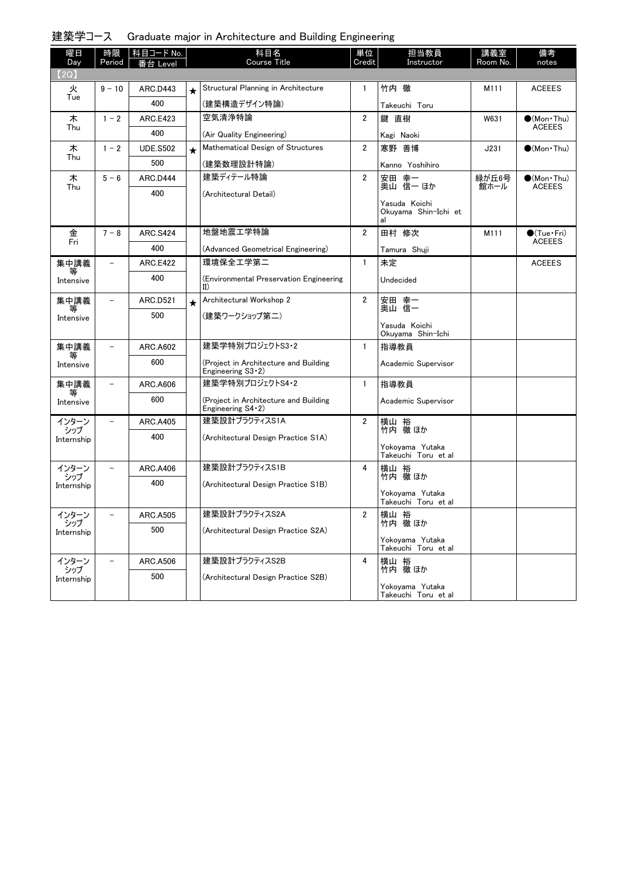### 建築学コース Graduate major in Architecture and Building Engineering

| 曜日<br>Day         | 時限<br>Period             | 科目コード No.       |         | 科目名<br><b>Course Title</b>                                      | 単位<br>Credit   | 担当教員<br>Instructor                          | 講義室<br>Room No. | 備考<br>notes           |
|-------------------|--------------------------|-----------------|---------|-----------------------------------------------------------------|----------------|---------------------------------------------|-----------------|-----------------------|
| (2Q)              |                          | ≸台 Level        |         |                                                                 |                |                                             |                 |                       |
| 火                 | $9 - 10$                 | ARC.D443        | $\star$ | Structural Planning in Architecture                             | $\mathbf{1}$   | 竹内 徹                                        | M111            | <b>ACEEES</b>         |
| Tue               |                          | 400             |         | (建築構造デザイン特論)                                                    |                | Takeuchi Toru                               |                 |                       |
| 木                 | $1 - 2$                  | <b>ARC.E423</b> |         | 空気清浄特論                                                          | $\overline{2}$ | 鍵 直樹                                        | W631            | $\bullet$ (Mon · Thu) |
| Thu               |                          | 400             |         | (Air Quality Engineering)                                       |                | Kagi Naoki                                  |                 | <b>ACEEES</b>         |
| 木                 | $1 - 2$                  | <b>UDE.S502</b> | $\star$ | Mathematical Design of Structures                               | $\overline{2}$ | 寒野 善博                                       | J231            | $\bigcirc$ (Mon Thu)  |
| Thu               |                          | 500             |         | (建築数理設計特論)                                                      |                | Kanno Yoshihiro                             |                 |                       |
| 木                 | $5 - 6$                  | ARC.D444        |         | 建築ディテール特論                                                       | $\overline{2}$ |                                             | 緑が丘6号           | $\bullet$ (Mon Thu)   |
| Thu               |                          | 400             |         | (Architectural Detail)                                          |                | 安田 幸一<br>奥山 信一 ほか                           | 館ホール            | <b>ACEEES</b>         |
|                   |                          |                 |         |                                                                 |                | Yasuda Koichi<br>Okuyama Shin-Ichi et<br>al |                 |                       |
| 金                 | $7 - 8$                  | <b>ARC.S424</b> |         | 地盤地震工学特論                                                        | 2              | 田村 修次                                       | M111            | $\bullet$ (Tue•Fri)   |
| Fri               |                          | 400             |         | (Advanced Geometrical Engineering)                              |                | Tamura Shuji                                |                 | <b>ACEEES</b>         |
| 集中講義              | $\overline{\phantom{0}}$ | <b>ARC.E422</b> |         | 環境保全工学第二                                                        | $\mathbf{1}$   | 未定                                          |                 | <b>ACEEES</b>         |
| Intensive         |                          | 400             |         | (Environmental Preservation Engineering<br>II)                  |                | Undecided                                   |                 |                       |
| 集中講義              |                          | <b>ARC.D521</b> | $\star$ | Architectural Workshop 2                                        | $\overline{2}$ | 安田 幸一<br>奥山 信一                              |                 |                       |
| Intensive         |                          | 500             |         | (建築ワークショップ第二)                                                   |                |                                             |                 |                       |
|                   |                          |                 |         |                                                                 |                | Yasuda Koichi<br>Okuyama Shin-Ichi          |                 |                       |
| 集中講義              | $\overline{\phantom{0}}$ | <b>ARC.A602</b> |         | 建築学特別プロジェクトS3・2                                                 | $\mathbf{1}$   | 指導教員                                        |                 |                       |
| 等<br>Intensive    |                          | 600             |         | (Project in Architecture and Building<br>Engineering $S3-2$ )   |                | Academic Supervisor                         |                 |                       |
| 集中講義              | $\overline{\phantom{0}}$ | ARC.A606        |         | 建築学特別プロジェクトS4・2                                                 | $\mathbf{1}$   | 指導教員                                        |                 |                       |
| 等<br>Intensive    |                          | 600             |         | (Project in Architecture and Building<br>Engineering $S4 - 2$ ) |                | Academic Supervisor                         |                 |                       |
| インターン             |                          | <b>ARC.A405</b> |         | 建築設計プラクティスS1A                                                   | $\overline{2}$ | 横山 裕<br>竹内 徹ほか                              |                 |                       |
| シップ<br>Internship |                          | 400             |         | (Architectural Design Practice S1A)                             |                |                                             |                 |                       |
|                   |                          |                 |         |                                                                 |                | Yokoyama Yutaka<br>Takeuchi Toru et al      |                 |                       |
| インターン             |                          | <b>ARC.A406</b> |         | 建築設計プラクティスS1B                                                   | 4              | 横山 裕                                        |                 |                       |
| シップ<br>Internship |                          | 400             |         | (Architectural Design Practice S1B)                             |                | 竹内 徹 ほか                                     |                 |                       |
|                   |                          |                 |         |                                                                 |                | Yokoyama Yutaka<br>Takeuchi Toru et al      |                 |                       |
| インターン             |                          | <b>ARC.A505</b> |         | $44 - 7 = 1 - 0$<br>建築設計フラクティスS2A                               | 2              | 横山 裕<br> 竹内 徹ほか                             |                 |                       |
| シップ<br>Internship |                          | 500             |         | (Architectural Design Practice S2A)                             |                |                                             |                 |                       |
|                   |                          |                 |         |                                                                 |                | Yokovama Yutaka<br>Takeuchi Toru et al      |                 |                       |
| インターン<br>シップ      | $\overline{\phantom{0}}$ | <b>ARC.A506</b> |         | 建築設計プラクティスS2B                                                   | 4              | 横山 裕<br>竹内 徹 ほか                             |                 |                       |
| Internship        |                          | 500             |         | (Architectural Design Practice S2B)                             |                |                                             |                 |                       |
|                   |                          |                 |         |                                                                 |                | Yokoyama Yutaka<br>Takeuchi Toru et al      |                 |                       |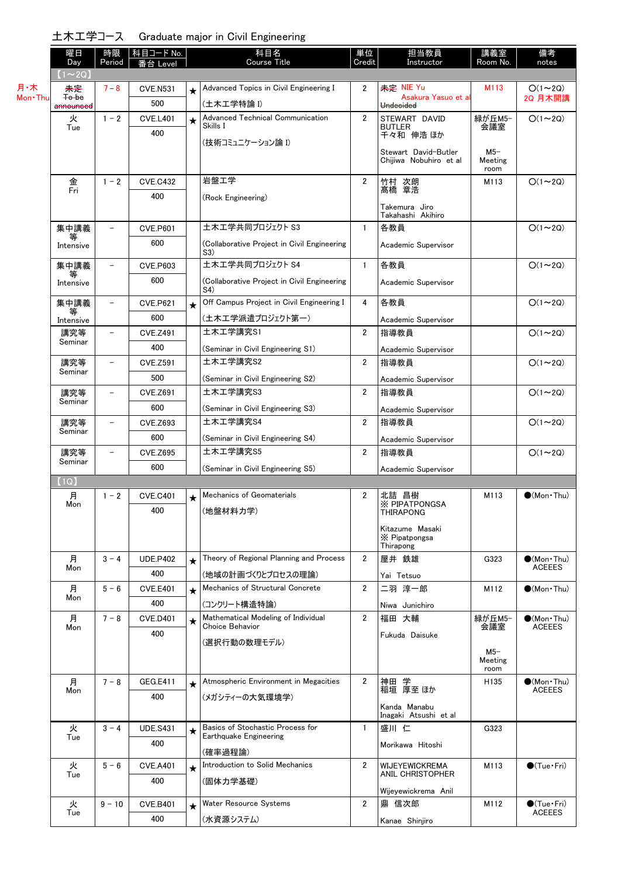土木工学コース Graduate major in Civil Engineering

| ᅭᄿᆇᆓᅿ                  | ↗                                                                                            |                 |         | Graduate major in Olvir Engineering                |                                                                    |                                               |                                                                                                                                                        |                       |
|------------------------|----------------------------------------------------------------------------------------------|-----------------|---------|----------------------------------------------------|--------------------------------------------------------------------|-----------------------------------------------|--------------------------------------------------------------------------------------------------------------------------------------------------------|-----------------------|
| 曜日<br>Day              | 時限<br>Period                                                                                 | ≸台 Level        |         | 科目名<br><b>Course Title</b>                         | 単位<br>Credit                                                       | 担当教員<br>Instructor                            | 講義室<br>Room No.                                                                                                                                        | 備考<br>notes           |
| $(1\sim 2Q)$           |                                                                                              |                 |         |                                                    |                                                                    |                                               |                                                                                                                                                        |                       |
| 未定                     | $7 - 8$                                                                                      | <b>CVE.N531</b> | $\star$ | Advanced Topics in Civil Engineering I             | 2                                                                  |                                               | M113                                                                                                                                                   | $O(1\sim 2Q)$         |
| Mon · Thu<br>announced |                                                                                              | 500             |         | (土木工学特論 I)                                         |                                                                    | Undecided                                     |                                                                                                                                                        | 2Q 月木開講               |
| 火                      | $1 - 2$                                                                                      | <b>CVE.L401</b> | $\star$ | Advanced Technical Communication                   | $\overline{2}$                                                     | STEWART DAVID                                 | 緑が丘M5-                                                                                                                                                 | $O(1 \sim 2Q)$        |
|                        |                                                                                              | 400             |         |                                                    |                                                                    | 千々和 伸浩 ほか                                     |                                                                                                                                                        |                       |
|                        |                                                                                              |                 |         |                                                    |                                                                    |                                               | $M5-$                                                                                                                                                  |                       |
|                        |                                                                                              |                 |         |                                                    |                                                                    | Chijiwa Nobuhiro et al                        | Meeting                                                                                                                                                |                       |
|                        | $1 - 2$                                                                                      | <b>CVE.C432</b> |         | 岩盤工学                                               | $\overline{2}$                                                     | 竹村 次朗                                         | M113                                                                                                                                                   | $O(1 \sim 2Q)$        |
|                        |                                                                                              | 400             |         |                                                    |                                                                    |                                               |                                                                                                                                                        |                       |
|                        |                                                                                              |                 |         |                                                    |                                                                    | Takemura Jiro                                 |                                                                                                                                                        |                       |
| 集中講義                   | $\overline{\phantom{0}}$                                                                     | <b>CVE.P601</b> |         | 土木工学共同プロジェクト S3                                    | $\mathbf{1}$                                                       | 各教員                                           |                                                                                                                                                        | $O(1\sim 2Q)$         |
| Intensive              |                                                                                              | 600             |         | (Collaborative Project in Civil Engineering<br>S3) |                                                                    | Academic Supervisor                           |                                                                                                                                                        |                       |
| 集中講義                   |                                                                                              | <b>CVE.P603</b> |         | 土木工学共同プロジェクト S4                                    | $\mathbf{1}$                                                       | 各教員                                           |                                                                                                                                                        | $O(1\sim 2Q)$         |
| Intensive              |                                                                                              | 600             |         | (Collaborative Project in Civil Engineering<br>S4) |                                                                    | Academic Supervisor                           |                                                                                                                                                        |                       |
| 集中講義                   |                                                                                              | <b>CVE.P621</b> | $\star$ | Off Campus Project in Civil Engineering I          | 4                                                                  | 各教員                                           |                                                                                                                                                        | $O(1\sim 2Q)$         |
| Intensive              |                                                                                              | 600             |         | (土木工学派遣プロジェクト第一)                                   |                                                                    | Academic Supervisor                           |                                                                                                                                                        |                       |
| 講究等                    | -                                                                                            | <b>CVE.Z491</b> |         | 土木工学講究S1                                           | $\overline{2}$                                                     | 指導教員                                          |                                                                                                                                                        | $O(1\sim 2Q)$         |
|                        |                                                                                              | 400             |         | (Seminar in Civil Engineering S1)                  |                                                                    | Academic Supervisor                           |                                                                                                                                                        |                       |
| 講究等                    | $\overline{\phantom{0}}$                                                                     | <b>CVE.Z591</b> |         | 土木工学講究S2                                           | $\overline{2}$                                                     | 指導教員                                          |                                                                                                                                                        | $O(1\sim 2Q)$         |
|                        |                                                                                              | 500             |         | (Seminar in Civil Engineering S2)                  |                                                                    | Academic Supervisor                           |                                                                                                                                                        |                       |
| 講究等                    | $\overline{\phantom{0}}$                                                                     | <b>CVE.Z691</b> |         | 土木工学講究S3                                           | $\overline{2}$                                                     | 指導教員                                          |                                                                                                                                                        | $O(1\sim 2Q)$         |
|                        |                                                                                              | 600             |         | (Seminar in Civil Engineering S3)                  |                                                                    | Academic Supervisor                           |                                                                                                                                                        |                       |
| 講究等                    | $\overline{\phantom{0}}$                                                                     | <b>CVE.Z693</b> |         | 土木工学講究S4                                           | $\overline{2}$                                                     | 指導教員                                          |                                                                                                                                                        | $O(1\sim 2Q)$         |
|                        |                                                                                              | 600             |         | (Seminar in Civil Engineering S4)                  |                                                                    | Academic Supervisor                           |                                                                                                                                                        |                       |
| 講究等                    |                                                                                              | <b>CVE.Z695</b> |         | 土木工学講究S5                                           | $\overline{2}$                                                     | 指導教員                                          |                                                                                                                                                        | $O(1\sim 2Q)$         |
| Seminar                |                                                                                              | 600             |         | (Seminar in Civil Engineering S5)                  |                                                                    |                                               |                                                                                                                                                        |                       |
| (1Q)                   |                                                                                              |                 |         |                                                    |                                                                    |                                               |                                                                                                                                                        |                       |
| 月                      | $1 - 2$                                                                                      | <b>CVE.C401</b> | $\star$ | Mechanics of Geomaterials                          | $\overline{2}$                                                     | 北詰 昌樹                                         | M113                                                                                                                                                   | $\bullet$ (Mon · Thu) |
|                        |                                                                                              | 400             |         | (地盤材料力学)                                           |                                                                    | <b>THIRAPONG</b>                              |                                                                                                                                                        |                       |
|                        |                                                                                              |                 |         |                                                    |                                                                    | Kitazume Masaki<br>X Pipatpongsa<br>Thirapong |                                                                                                                                                        |                       |
| 月                      | $3 - 4$                                                                                      | <b>UDE.P402</b> | $\star$ | Theory of Regional Planning and Process            | 2                                                                  | 屋井 鉄雄                                         | G323                                                                                                                                                   | $\bullet$ (Mon Thu)   |
| Mon                    |                                                                                              | 400             |         | (地域の計画づくりとプロセスの理論)                                 |                                                                    | Yai Tetsuo                                    |                                                                                                                                                        | ACEEES                |
| 月                      | $5 - 6$                                                                                      | <b>CVE.E401</b> |         | Mechanics of Structural Concrete                   | $\overline{2}$                                                     | 二羽 淳一郎                                        | M112                                                                                                                                                   | $\bullet$ (Mon Thu)   |
| Mon                    |                                                                                              | 400             |         | (コンクリート構造特論)                                       |                                                                    | Niwa Junichiro                                |                                                                                                                                                        |                       |
| 月                      | $7 - 8$                                                                                      | <b>CVE.D401</b> |         | Mathematical Modeling of Individual                | $\overline{2}$                                                     | 福田 大輔                                         | 緑が丘M5-                                                                                                                                                 | $\bullet$ (Mon Thu)   |
| Mon                    |                                                                                              | 400             |         | Choice Behavior                                    |                                                                    | Fukuda Daisuke                                | 会議室                                                                                                                                                    | <b>ACEEES</b>         |
|                        |                                                                                              |                 |         |                                                    |                                                                    |                                               | $M5-$                                                                                                                                                  |                       |
|                        | <b>To be</b><br>Tue<br>金<br>Fri<br>等<br>等<br>Seminar<br>Seminar<br>Seminar<br>Seminar<br>Mon |                 |         | │科目コード No. │<br>$\star$<br>$\star$                 | Skills I<br>(技術コミュニケーション論 Ⅰ)<br>(Rock Engineering)<br>(選択行動の数理モデル) |                                               | 未定 NIE Yu<br>Asakura Yasuo et al<br><b>BUTLER</b><br>Stewart David-Butler<br>髙橋 章浩<br>Takahashi Akihiro<br>Academic Supervisor<br><b>X PIPATPONGSA</b> | 会議室<br>room           |

(メガシティーの大気環境学)

(確率過程論)

(固体力学基礎)

(水資源システム)

[Basics of Stochastic Process for](http://www.ocw.titech.ac.jp/index.php?module=General&action=T0300&JWC=201703333&lang=JA&vid=03)

[Introduction to Solid Mechanics](http://www.ocw.titech.ac.jp/index.php?module=General&action=T0300&JWC=201703189&lang=JA&vid=03)

月 Mon

火 Tue

火 Tue

火 Tue  $\overline{7} - 8$  GEG.E411

 $3 - 4$  UDE.S431

 $5 - 6$  CVE.A401

 $9 - 10$  CVE.B401

400

400

400

400

 $\sqrt{\frac{(\text{Mon}\cdot\text{Thu})}{\text{ACEEES}}}$ 

●(Tue · Fri)<br>ACEEES

Meeting room

★ [Atmospheric Environment in Megacities](http://www.ocw.titech.ac.jp/index.php?module=General&action=T0300&JWC=201705072&lang=JA&vid=03) | 2 | 神田 学 | 1135 | Mon•Thu)

★ Introduction to Solid Mechanics 2 | WIJEYEWICKREMA | M113 | ●(Tue・Fri)<br>ANIL CHRISTOPHER

[Water Resource Systems](http://www.ocw.titech.ac.jp/index.php?module=General&action=T0300&JWC=201703199&lang=JA&vid=03) ★ 2 M112 ●(Tue・Fri)

★ Basics of Stochastic Process for  $\begin{array}{|c|c|c|c|c|}\n \star & \text{Basis of Stochastic Process for} & & 1 & \frac{1}{1} & \text{Eif } & \text{A323} \\
\star & \text{Earthquake Engineering} & & & & \text{A323} \\
\star & \text{B323} & & \text{B323} & & \text{B323} \\
\star & \text{B323} & & \text{B323} & & \text{B323} \\
\star & \text{B323} & & \text{B323} & & \text{B323} \\
\$ 

神田 学 稲垣 厚至 ほか Kanda Manabu Inagaki Atsushi et al

Morikawa Hitoshi

Wijeyewickrema Anil

鼎 信次郎 Kanae Shinjiro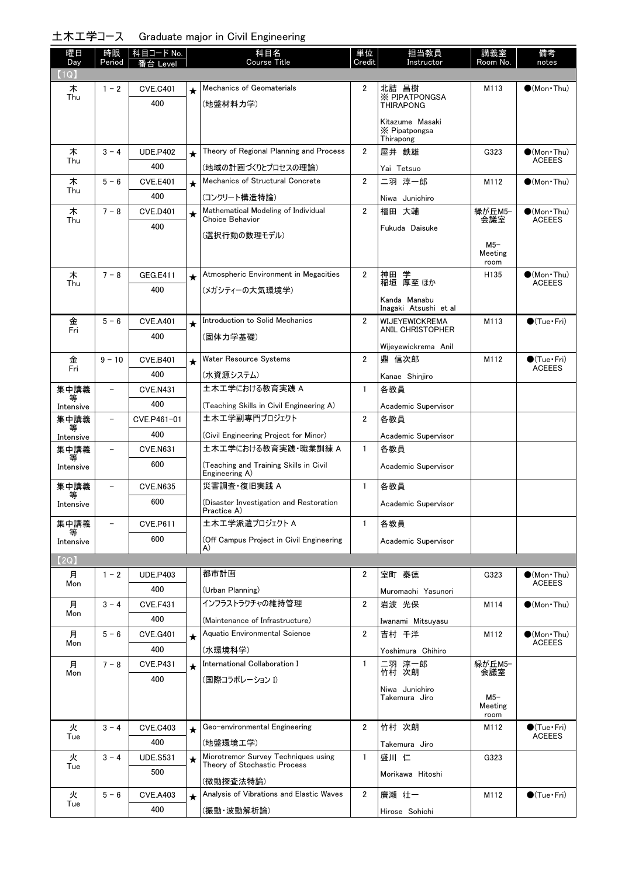# 土木工学コース Graduate major in Civil Engineering

| 曜日<br>Day         | 時限<br>Period             | │ 科目コード No.<br>番台 Level |         | 科目名<br><b>Course Title</b>                                   | 単位<br>Credit   | 担当教員<br>Instructor                            | 講義室<br>Room No.          | 備考<br>notes                             |
|-------------------|--------------------------|-------------------------|---------|--------------------------------------------------------------|----------------|-----------------------------------------------|--------------------------|-----------------------------------------|
| (1Q)              |                          |                         |         |                                                              |                |                                               |                          |                                         |
| 木                 | $1 - 2$                  | <b>CVE.C401</b>         | $\star$ | Mechanics of Geomaterials                                    | $\overline{2}$ | 北詰 昌樹                                         | M113                     | $\bullet$ (Mon Thu)                     |
| Thu               |                          | 400                     |         | (地盤材料力学)                                                     |                | <b>X PIPATPONGSA</b><br><b>THIRAPONG</b>      |                          |                                         |
|                   |                          |                         |         |                                                              |                | Kitazume Masaki<br>X Pipatpongsa<br>Thirapong |                          |                                         |
| 木                 | $3 - 4$                  | <b>UDE.P402</b>         | $\star$ | Theory of Regional Planning and Process                      | $\mathbf{2}$   | 屋井 鉄雄                                         | G323                     | $\bullet$ (Mon Thu)                     |
| Thu               |                          | 400                     |         | (地域の計画づくりとプロセスの理論)                                           |                | Yai Tetsuo                                    |                          | <b>ACEEES</b>                           |
| 木                 | $5 - 6$                  | <b>CVE.E401</b>         | $\star$ | Mechanics of Structural Concrete                             | $\overline{2}$ | 二羽 淳一郎                                        | M112                     | $\bigcirc$ (Mon Thu)                    |
| Thu               |                          | 400                     |         | (コンクリート構造特論)                                                 |                | Niwa Junichiro                                |                          |                                         |
| 木                 | $7 - 8$                  | <b>CVE.D401</b>         | $\star$ | Mathematical Modeling of Individual                          | $\overline{2}$ | 福田 大輔                                         | 緑が丘M5-                   | $(Mon\cdot Thu)$                        |
| Thu               |                          | 400                     |         | Choice Behavior                                              |                | Fukuda Daisuke                                | 会議室                      | <b>ACEEES</b>                           |
|                   |                          |                         |         | (選択行動の数理モデル)                                                 |                |                                               | $M5-$<br>Meeting         |                                         |
|                   |                          |                         |         |                                                              |                |                                               | room                     |                                         |
| 木<br>Thu          | $7 - 8$                  | GEG.E411                | $\star$ | Atmospheric Environment in Megacities                        | $\overline{2}$ | 神田 学<br>稲垣 厚至 ほか                              | H135                     | (Mon Thu)<br><b>ACEEES</b>              |
|                   |                          | 400                     |         | (メガシティーの大気環境学)                                               |                | Kanda Manabu                                  |                          |                                         |
|                   |                          |                         |         |                                                              |                | Inagaki Atsushi et al                         |                          |                                         |
| 金<br>Fri          | $5 - 6$                  | <b>CVE.A401</b>         | $\star$ | Introduction to Solid Mechanics                              | $\overline{2}$ | WIJEYEWICKREMA<br>ANIL CHRISTOPHER            | M113                     | $\bigcirc$ (Tue · Fri)                  |
|                   |                          | 400                     |         | (固体力学基礎)                                                     |                |                                               |                          |                                         |
| 金                 | $9 - 10$                 | <b>CVE.B401</b>         |         | <b>Water Resource Systems</b>                                | $\overline{2}$ | Wijeyewickrema Anil<br>鼎 信次郎                  | M112                     | $\bullet$ (Tue•Fri)                     |
| Fri               |                          | 400                     | $\star$ | (水資源システム)                                                    |                |                                               |                          | <b>ACEEES</b>                           |
| 集中講義              | $\overline{\phantom{0}}$ | <b>CVE.N431</b>         |         | 土木工学における教育実践 A                                               | $\mathbf{1}$   | Kanae Shinjiro<br>各教員                         |                          |                                         |
| 等                 |                          | 400                     |         |                                                              |                |                                               |                          |                                         |
| Intensive<br>集中講義 | $\qquad \qquad -$        | CVE.P461-01             |         | (Teaching Skills in Civil Engineering A)<br>土木工学副専門プロジェクト    | $\overline{2}$ | Academic Supervisor<br>各教員                    |                          |                                         |
|                   |                          | 400                     |         |                                                              |                |                                               |                          |                                         |
| Intensive<br>集中講義 |                          | <b>CVE.N631</b>         |         | (Civil Engineering Project for Minor)<br>土木工学における教育実践·職業訓練 A | $\mathbf{1}$   | Academic Supervisor<br>各教員                    |                          |                                         |
| 等                 |                          | 600                     |         |                                                              |                |                                               |                          |                                         |
| Intensive         |                          |                         |         | (Teaching and Training Skills in Civil<br>Engineering A)     |                | Academic Supervisor                           |                          |                                         |
| 集中講義              |                          | <b>CVE.N635</b>         |         | 災害調査·復旧実践 A                                                  | $\mathbf{1}$   | 各教員                                           |                          |                                         |
| 等<br>Intensive    |                          | 600                     |         | (Disaster Investigation and Restoration                      |                | Academic Supervisor                           |                          |                                         |
| 集中講義              |                          | <b>CVE.P611</b>         |         | Practice A)<br>土木工学派遣プロジェクト A                                | $\mathbf{1}$   | 各教員                                           |                          |                                         |
|                   |                          | 600                     |         | (Off Campus Project in Civil Engineering                     |                |                                               |                          |                                         |
| Intensive         |                          |                         |         | A)                                                           |                | Academic Supervisor                           |                          |                                         |
| (2Q)              |                          |                         |         |                                                              |                |                                               |                          |                                         |
| 月<br>Mon          | $1 - 2$                  | <b>UDE.P403</b>         |         | 都市計画                                                         | 2              | 室町 泰徳                                         | G323                     | $\bigcirc$ (Mon · Thu)<br><b>ACEEES</b> |
|                   |                          | 400                     |         | (Urban Planning)                                             |                | Muromachi Yasunori                            |                          |                                         |
| 月<br>Mon          | $3 - 4$                  | <b>CVE.F431</b>         |         | インフラストラクチャの維持管理                                              | $\overline{2}$ | 岩波 光保                                         | M114                     | $\bigcirc$ (Mon Thu)                    |
|                   |                          | 400                     |         | (Maintenance of Infrastructure)                              |                | Iwanami Mitsuyasu                             |                          |                                         |
| 月<br>Mon          | $5 - 6$                  | <b>CVE.G401</b>         | $\star$ | Aquatic Environmental Science                                | $\overline{2}$ | 吉村 千洋                                         | M112                     | $\bullet$ (Mon Thu)<br><b>ACEEES</b>    |
|                   |                          | 400                     |         | (水環境科学)                                                      |                | Yoshimura Chihiro                             |                          |                                         |
| 月<br>Mon          | $7 - 8$                  | <b>CVE.P431</b>         | $\star$ | International Collaboration I                                | $\mathbf{1}$   | 二羽 淳一郎<br>竹村 次朗                               | 緑が丘M5-<br>会議室            |                                         |
|                   |                          | 400                     |         | (国際コラボレーション Ⅰ)                                               |                | Niwa Junichiro                                |                          |                                         |
|                   |                          |                         |         |                                                              |                | Takemura Jiro                                 | $M5-$<br>Meeting<br>room |                                         |
| 火                 | $3 - 4$                  | <b>CVE.C403</b>         | $\star$ | Geo-environmental Engineering                                | $\overline{2}$ | 竹村 次朗                                         | M112                     | $\bigcirc$ (Tue·Fri)                    |
| Tue               |                          | 400                     |         | (地盤環境工学)                                                     |                | Takemura Jiro                                 |                          | <b>ACEEES</b>                           |
| 火                 | $3 - 4$                  | <b>UDE.S531</b>         | $\star$ | Microtremor Survey Techniques using                          | $\mathbf{1}$   | 盛川 仁                                          | G323                     |                                         |
| Tue               |                          | 500                     |         | Theory of Stochastic Process                                 |                | Morikawa Hitoshi                              |                          |                                         |
|                   |                          |                         |         | (微動探査法特論)                                                    |                |                                               |                          |                                         |
| 火<br>Tue          | $5 - 6$                  | <b>CVE.A403</b>         | $\star$ | Analysis of Vibrations and Elastic Waves                     | 2              | 廣瀬 壮一                                         | M112                     | $\bigcirc$ (Tue · Fri)                  |
|                   |                          | 400                     |         | (振動・波動解析論)                                                   |                | Hirose Sohichi                                |                          |                                         |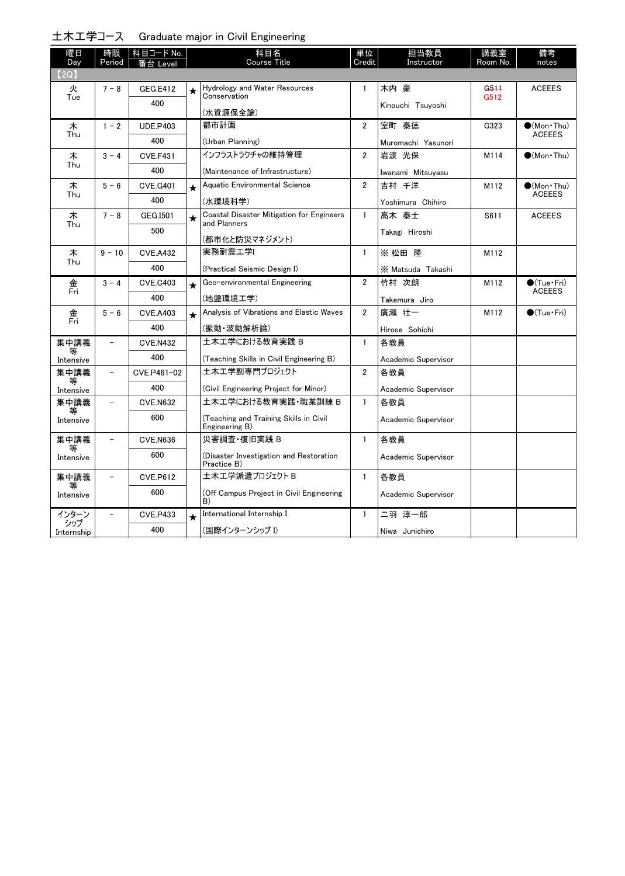| 土木工学コース Graduate major in Civil Engineering |
|---------------------------------------------|
|---------------------------------------------|

| 曜日                | 時限                       | <b>科目コード No.</b> |         | 科目名                                                              | 単位             | 担当教員                | 講義室                      | 備考                                |
|-------------------|--------------------------|------------------|---------|------------------------------------------------------------------|----------------|---------------------|--------------------------|-----------------------------------|
| Day               | Period                   | 番台 Level         |         | <b>Course Title</b>                                              | Credit         | Instructor          | Room No.                 | notes                             |
| (2Q)              |                          |                  |         |                                                                  |                |                     |                          |                                   |
| 火<br>Tue          | $7 - 8$                  | GEG.E412         | $\star$ | Hydrology and Water Resources<br>Conservation                    | $\mathbf{1}$   | 木内 豪                | G <sub>511</sub><br>G512 | <b>ACEEES</b>                     |
|                   |                          | 400              |         | (水資源保全論)                                                         |                | Kinouchi Tsuyoshi   |                          |                                   |
| 木                 | $1 - 2$                  | <b>UDE.P403</b>  |         | 都市計画                                                             | $\overline{2}$ | 室町 泰徳               | G323                     | $\bullet$ (Mon•Thu)               |
| Thu               |                          | 400              |         | (Urban Planning)                                                 |                | Muromachi Yasunori  |                          | <b>ACEEES</b>                     |
| 木                 | $3 - 4$                  | <b>CVE.F431</b>  |         | インフラストラクチャの維持管理                                                  | $\overline{2}$ | 岩波 光保               | M114                     | $\bullet$ (Mon•Thu)               |
| Thu               |                          | 400              |         | (Maintenance of Infrastructure)                                  |                | Iwanami Mitsuyasu   |                          |                                   |
| 木                 | $5 - 6$                  | <b>CVE.G401</b>  | $\star$ | Aquatic Environmental Science                                    | $\overline{2}$ | 吉村 千洋               | M112                     | $(Mon\cdot Thu)$<br><b>ACEEES</b> |
| Thu               |                          | 400              |         | (水環境科学)                                                          |                | Yoshimura Chihiro   |                          |                                   |
| 木<br>Thu          | $7 - 8$                  | GEG.I501         | $\star$ | <b>Coastal Disaster Mitigation for Engineers</b><br>and Planners | $\mathbf{1}$   | 髙木 泰士               | S611                     | <b>ACEEES</b>                     |
|                   |                          | 500              |         | (都市化と防災マネジメント)                                                   |                | Takagi Hiroshi      |                          |                                   |
| 木                 | $9 - 10$                 | <b>CVE.A432</b>  |         | 実務耐震工学I                                                          | $\mathbf{1}$   | ※松田隆                | M112                     |                                   |
| Thu               |                          | 400              |         | (Practical Seismic Design I)                                     |                | X Matsuda Takashi   |                          |                                   |
| 金                 | $3 - 4$                  | <b>CVE.C403</b>  | $\star$ | Geo-environmental Engineering                                    | $\overline{2}$ | 竹村 次朗               | M112                     | $\bigcirc$ (Tue·Fri)              |
| Fri               |                          | 400              |         | (地盤環境工学)                                                         |                | Takemura Jiro       |                          | <b>ACEEES</b>                     |
| 金                 | $5 - 6$                  | <b>CVE.A403</b>  | $\star$ | Analysis of Vibrations and Elastic Waves                         | $\overline{2}$ | 廣瀬 壮一               | M112                     | $\bullet$ (Tue $\cdot$ Fri)       |
| Fri               |                          | 400              |         | (振動・波動解析論)                                                       |                | Hirose Sohichi      |                          |                                   |
| 集中講義              | $\overline{\phantom{0}}$ | <b>CVE.N432</b>  |         | 土木工学における教育実践 B                                                   | $\mathbf{1}$   | 各教員                 |                          |                                   |
| 等<br>Intensive    |                          | 400              |         | (Teaching Skills in Civil Engineering B)                         |                | Academic Supervisor |                          |                                   |
| 集中講義              | $\overline{\phantom{0}}$ | CVE.P461-02      |         | 土木工学副専門プロジェクト                                                    | $\overline{2}$ | 各教員                 |                          |                                   |
| Intensive         |                          | 400              |         | (Civil Engineering Project for Minor)                            |                | Academic Supervisor |                          |                                   |
| 集中講義              | $\qquad \qquad -$        | <b>CVE.N632</b>  |         | 土木工学における教育実践・職業訓練 B                                              | $\mathbf{1}$   | 各教員                 |                          |                                   |
| 等<br>Intensive    |                          | 600              |         | (Teaching and Training Skills in Civil<br>Engineering B)         |                | Academic Supervisor |                          |                                   |
| 集中講義              |                          | <b>CVE.N636</b>  |         | 災害調査·復旧実践 B                                                      | $\mathbf{1}$   | 各教員                 |                          |                                   |
| Intensive         |                          | 600              |         | (Disaster Investigation and Restoration<br>Practice B)           |                | Academic Supervisor |                          |                                   |
| 集中講義<br>等         |                          | <b>CVE.P612</b>  |         | 土木工学派遣プロジェクト B                                                   | $\mathbf{1}$   | 各教員                 |                          |                                   |
| Intensive         |                          | 600              |         | (Off Campus Project in Civil Engineering<br>B)                   |                | Academic Supervisor |                          |                                   |
| インターン             |                          | <b>CVE.P433</b>  | $\star$ | International Internship I                                       | $\mathbf{1}$   | 二羽 淳一郎              |                          |                                   |
| シップ<br>Internship |                          | 400              |         | (国際インターンシップ Ⅰ)                                                   |                | Niwa Junichiro      |                          |                                   |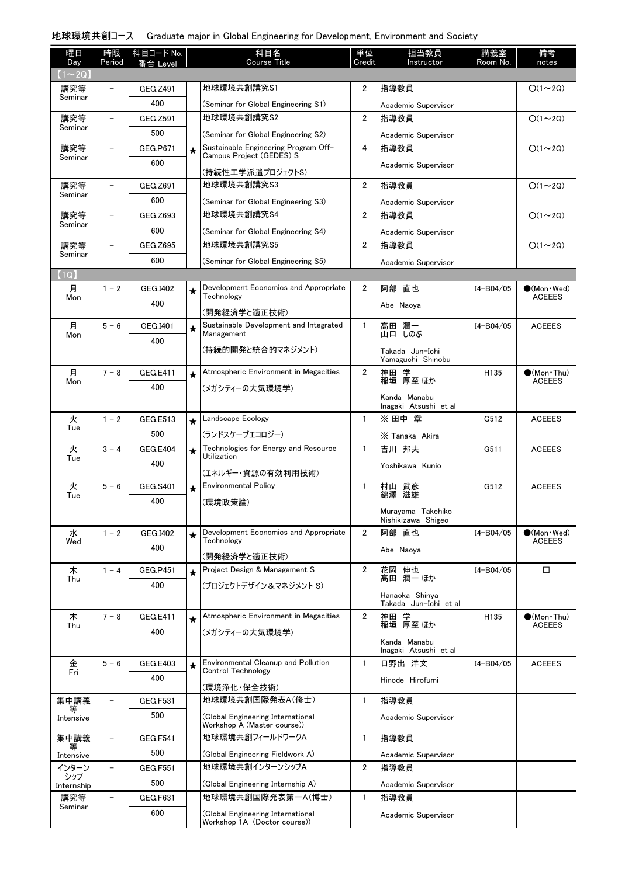| 曜日                 | 時限                       | 科目コード No.       |         | 科目名                                                              | 単位             | 担当教員                                    | 講義室           | 備考                                    |
|--------------------|--------------------------|-----------------|---------|------------------------------------------------------------------|----------------|-----------------------------------------|---------------|---------------------------------------|
| Day<br>$(1\sim2Q)$ | Period                   | 番台 Level        |         | Course Title                                                     | Credit         | Instructor                              | Room No.      | notes                                 |
| 講究等                |                          | GEG.Z491        |         | 地球環境共創講究S1                                                       | $\overline{2}$ | 指導教員                                    |               | $O(1\sim 2Q)$                         |
| Seminar            |                          | 400             |         | (Seminar for Global Engineering S1)                              |                | Academic Supervisor                     |               |                                       |
| 講究等                |                          | GEG.Z591        |         | 地球環境共創講究S2                                                       | $\overline{2}$ | 指導教員                                    |               | $O(1\sim 2Q)$                         |
| Seminar            |                          | 500             |         | (Seminar for Global Engineering S2)                              |                | Academic Supervisor                     |               |                                       |
| 講究等                | $\overline{\phantom{0}}$ | GEG.P671        | $\star$ | Sustainable Engineering Program Off-                             | 4              | 指導教員                                    |               | $O(1\sim 2Q)$                         |
| Seminar            |                          | 600             |         | Campus Project (GEDES) S                                         |                | Academic Supervisor                     |               |                                       |
| 講究等                | $\overline{\phantom{0}}$ | GEG.Z691        |         | (持続性エ学派遣プロジェクトS)<br>地球環境共創講究S3                                   | $\overline{2}$ | 指導教員                                    |               | $O(1\sim 2Q)$                         |
| Seminar            |                          | 600             |         | (Seminar for Global Engineering S3)                              |                |                                         |               |                                       |
| 講究等                | $\overline{\phantom{0}}$ | GEG.Z693        |         | 地球環境共創講究S4                                                       | $\overline{2}$ | Academic Supervisor<br>指導教員             |               | $O(1\sim 2Q)$                         |
| Seminar            |                          | 600             |         | (Seminar for Global Engineering S4)                              |                | Academic Supervisor                     |               |                                       |
| 講究等                |                          | GEG.Z695        |         | 地球環境共創講究S5                                                       | $\overline{2}$ | 指導教員                                    |               | $O(1\sim 2Q)$                         |
| Seminar            |                          | 600             |         | (Seminar for Global Engineering S5)                              |                | Academic Supervisor                     |               |                                       |
| (1Q)               |                          |                 |         |                                                                  |                |                                         |               |                                       |
| 月                  | $1 - 2$                  | GEG.1402        | $\star$ | Development Economics and Appropriate                            | $\overline{2}$ | 阿部 直也                                   | I4-B04/05     | $\bullet$ (Mon $\cdot$ Wed)           |
| Mon                |                          | 400             |         | Technology                                                       |                | Abe Naoya                               |               | <b>ACEEES</b>                         |
|                    |                          |                 |         | (開発経済学と適正技術)                                                     |                |                                         |               |                                       |
| 月<br>Mon           | $5 - 6$                  | GEG.I401        | $\star$ | Sustainable Development and Integrated<br>Management             | $\mathbf{1}$   | 潤一<br>髙田<br>しのぶ<br>山口                   | $I4 - B04/05$ | <b>ACEEES</b>                         |
|                    |                          | 400             |         | (持続的開発と統合的マネジメント)                                                |                | Takada Jun-Ichi                         |               |                                       |
|                    |                          |                 |         |                                                                  |                | Yamaguchi Shinobu                       |               |                                       |
| 月<br>Mon           | $7 - 8$                  | <b>GEG.E411</b> | $\star$ | Atmospheric Environment in Megacities                            | $\overline{2}$ | 神田<br>神田 学<br>稲垣 厚至 ほか                  | H135          | $\bigcirc$ (Mon Thu)<br><b>ACEEES</b> |
|                    |                          | 400             |         | (メガシティーの大気環境学)                                                   |                | Kanda Manabu                            |               |                                       |
|                    |                          |                 |         |                                                                  |                | Inagaki Atsushi et al                   |               |                                       |
| 火<br>Tue           | $1 - 2$                  | <b>GEG.E513</b> | $\star$ | Landscape Ecology                                                | $\mathbf{1}$   | ※ 田中 章                                  | G512          | <b>ACEEES</b>                         |
|                    |                          | 500             |         | (ランドスケープエコロジー)                                                   |                | X Tanaka Akira                          |               |                                       |
| 火<br>Tue           | $3 - 4$                  | <b>GEG.E404</b> | $\star$ | Technologies for Energy and Resource<br>Utilization              | $\mathbf{1}$   | 吉川 邦夫                                   | G511          | <b>ACEEES</b>                         |
|                    |                          | 400             |         | (エネルギー・資源の有効利用技術)                                                |                | Yoshikawa Kunio                         |               |                                       |
| 火                  | $5 - 6$                  | <b>GEG.S401</b> | $\star$ | <b>Environmental Policy</b>                                      | $\mathbf{1}$   | 村山 武彦                                   | G512          | <b>ACEEES</b>                         |
| Tue                |                          | 400             |         | (環境政策論)                                                          |                | 錦澤 滋雄                                   |               |                                       |
|                    |                          |                 |         |                                                                  |                | Murayama Takehiko<br>Nishikizawa Shigeo |               |                                       |
| 水                  | $1 - 2$                  | GEG.I402        | $\star$ | Development Economics and Appropriate                            | $\overline{2}$ | 阿部 直也                                   | $I4 - B04/05$ | $\bullet$ (Mon $\cdot$ Wed)           |
| Wed                |                          | 400             |         | Technology                                                       |                | Abe Naoya                               |               | <b>ACEEES</b>                         |
| 木                  | $1 - 4$                  | GEG.P451        |         | (開発経済学と適正技術)<br>Project Design & Management S                    | $\overline{2}$ | 花岡 伸也                                   | I4-B04/05     | □                                     |
| Thu                |                          | 400             | $\star$ | (プロジェクトデザイン&マネジメント S)                                            |                | 髙田 潤一 ほか                                |               |                                       |
|                    |                          |                 |         |                                                                  |                | Hanaoka Shinya                          |               |                                       |
| 木                  | $7 - 8$                  | GEG.E411        |         | Atmospheric Environment in Megacities                            | $\overline{2}$ | Takada Jun-Ichi et al<br>神田 学           | H135          | $\bullet$ (Mon•Thu)                   |
| Thu                |                          | 400             | $\star$ | (メガシティーの大気環境学)                                                   |                | 稲垣 厚至 ほか                                |               | <b>ACEEES</b>                         |
|                    |                          |                 |         |                                                                  |                | Kanda Manabu                            |               |                                       |
| 金                  | $5 - 6$                  | GEG.E403        |         | Environmental Cleanup and Pollution                              | 1              | Inagaki Atsushi et al<br>日野出 洋文         | $I4 - B04/05$ | <b>ACEEES</b>                         |
| Fri                |                          | 400             | $\star$ | <b>Control Technology</b>                                        |                | Hinode Hirofumi                         |               |                                       |
|                    |                          |                 |         | (環境浄化・保全技術)                                                      |                |                                         |               |                                       |
| 集中講義               | -                        | GEG.F531        |         | 地球環境共創国際発表A(修士)                                                  | 1              | 指導教員                                    |               |                                       |
| Intensive          |                          | 500             |         | (Global Engineering International<br>Workshop A (Master course)) |                | Academic Supervisor                     |               |                                       |
| 集中講義               | -                        | GEG.F541        |         | 地球環境共創フィールドワークA                                                  | $\mathbf{1}$   | 指導教員                                    |               |                                       |
| Intensive          |                          | 500             |         | (Global Engineering Fieldwork A)                                 |                | Academic Supervisor                     |               |                                       |
| インターン              |                          | <b>GEG.F551</b> |         | 地球環境共創インターンシップA                                                  | $\overline{2}$ | 指導教員                                    |               |                                       |
| シップ<br>Internship  |                          | 500             |         | (Global Engineering Internship A)                                |                | Academic Supervisor                     |               |                                       |
| 講究等                | $\overline{\phantom{0}}$ | <b>GEG.F631</b> |         | 地球環境共創国際発表第一A(博士)                                                | $\mathbf{1}$   | 指導教員                                    |               |                                       |
| Seminar            |                          | 600             |         | (Global Engineering International                                |                | Academic Supervisor                     |               |                                       |
|                    |                          |                 |         | Workshop 1A (Doctor course))                                     |                |                                         |               |                                       |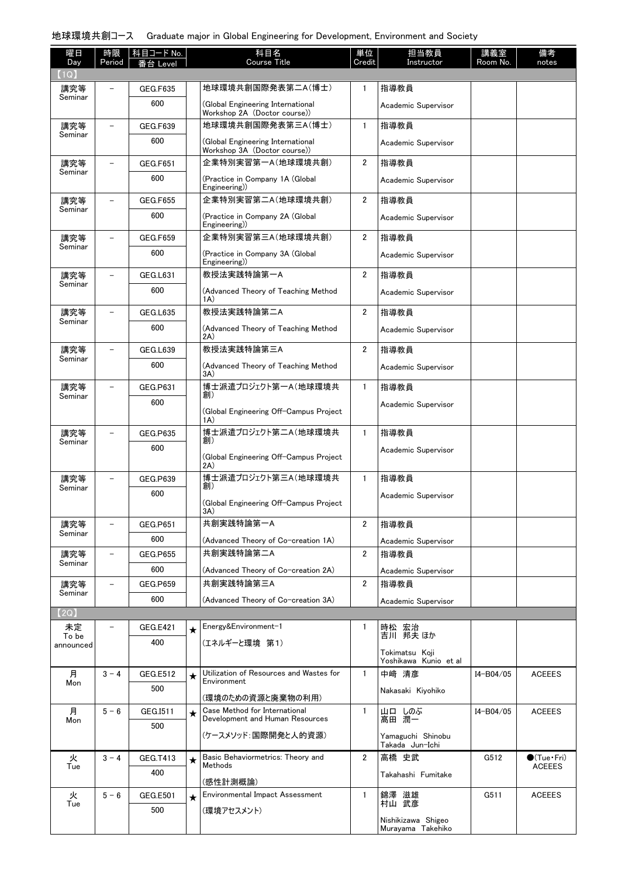| 曜日<br>Day      | 時限<br>Period             | 科目コード No.       |         | 科目名<br><b>Course Title</b>                                        | 単位<br>Credit   | 担当教員<br>Instructor                      | 講義室<br>Room No. | 備考<br>notes                          |
|----------------|--------------------------|-----------------|---------|-------------------------------------------------------------------|----------------|-----------------------------------------|-----------------|--------------------------------------|
| (1Q)           |                          | 台 Level         |         |                                                                   |                |                                         |                 |                                      |
| 講究等            | $\overline{\phantom{0}}$ | <b>GEG.F635</b> |         | 地球環境共創国際発表第二A(博士)                                                 | $\mathbf{1}$   | 指導教員                                    |                 |                                      |
| Seminar        |                          | 600             |         | (Global Engineering International<br>Workshop 2A (Doctor course)) |                | Academic Supervisor                     |                 |                                      |
| 講究等            | $\overline{\phantom{0}}$ | GEG.F639        |         | 地球環境共創国際発表第三A(博士)                                                 | $\mathbf{1}$   | 指導教員                                    |                 |                                      |
| Seminar        |                          | 600             |         | (Global Engineering International<br>Workshop 3A (Doctor course)) |                | Academic Supervisor                     |                 |                                      |
| 講究等            | $\overline{\phantom{0}}$ | <b>GEG.F651</b> |         | 企業特別実習第一A(地球環境共創)                                                 | $\overline{2}$ | 指導教員                                    |                 |                                      |
| Seminar        |                          | 600             |         | (Practice in Company 1A (Global<br>Engineering)                   |                | Academic Supervisor                     |                 |                                      |
| 講究等<br>Seminar | $\overline{\phantom{0}}$ | <b>GEG.F655</b> |         | 企業特別実習第二A(地球環境共創)                                                 | $\overline{2}$ | 指導教員                                    |                 |                                      |
|                |                          | 600             |         | (Practice in Company 2A (Global<br>Engineering))                  |                | Academic Supervisor                     |                 |                                      |
| 講究等<br>Seminar | $\overline{\phantom{0}}$ | <b>GEG.F659</b> |         | 企業特別実習第三A(地球環境共創)                                                 | $\overline{2}$ | 指導教員                                    |                 |                                      |
|                |                          | 600             |         | (Practice in Company 3A (Global<br>Engineering))                  |                | Academic Supervisor                     |                 |                                      |
| 講究等<br>Seminar | $\overline{\phantom{0}}$ | <b>GEG.L631</b> |         | 教授法実践特論第一A                                                        | $\overline{2}$ | 指導教員                                    |                 |                                      |
|                |                          | 600             |         | (Advanced Theory of Teaching Method<br>(A)                        |                | Academic Supervisor                     |                 |                                      |
| 講究等<br>Seminar | $\overline{\phantom{0}}$ | <b>GEG.L635</b> |         | 教授法実践特論第二A                                                        | $\overline{2}$ | 指導教員                                    |                 |                                      |
|                |                          | 600             |         | (Advanced Theory of Teaching Method<br>2A)                        |                | Academic Supervisor                     |                 |                                      |
| 講究等<br>Seminar | $\overline{\phantom{0}}$ | <b>GEG.L639</b> |         | 教授法実践特論第三A                                                        | $\overline{2}$ | 指導教員                                    |                 |                                      |
|                |                          | 600             |         | (Advanced Theory of Teaching Method<br>3A)                        |                | Academic Supervisor                     |                 |                                      |
| 講究等<br>Seminar | $\overline{\phantom{0}}$ | GEG.P631        |         | 博士派遣プロジェクト第一A(地球環境共<br>創)                                         | $\mathbf{1}$   | 指導教員                                    |                 |                                      |
|                |                          | 600             |         | (Global Engineering Off-Campus Project<br>1A)                     |                | Academic Supervisor                     |                 |                                      |
| 講究等            |                          | <b>GEG.P635</b> |         | 博士派遣プロジェクト第二A(地球環境共                                               | $\mathbf{1}$   | 指導教員                                    |                 |                                      |
| Seminar        |                          | 600             |         | 創)                                                                |                | Academic Supervisor                     |                 |                                      |
|                |                          |                 |         | (Global Engineering Off-Campus Project<br>2A)                     |                |                                         |                 |                                      |
| 講究等<br>Seminar | $\overline{\phantom{0}}$ | GEG.P639        |         | 博士派遣プロジェクト第三A(地球環境共<br>創)                                         | $\mathbf{1}$   | 指導教員                                    |                 |                                      |
|                |                          | 600             |         | (Global Engineering Off-Campus Project<br>3A)                     |                | Academic Supervisor                     |                 |                                      |
| 講究等            | $\overline{\phantom{0}}$ | GEG.P651        |         | 共創実践特論第一A                                                         | 2              | 指導教員                                    |                 |                                      |
| Seminar        |                          | 600             |         | (Advanced Theory of Co-creation 1A)                               |                | Academic Supervisor                     |                 |                                      |
| 講究等            | $\overline{\phantom{0}}$ | <b>GEG.P655</b> |         | 共創実践特論第二A                                                         | $\overline{2}$ | 指導教員                                    |                 |                                      |
| Seminar        |                          | 600             |         | (Advanced Theory of Co-creation 2A)                               |                | Academic Supervisor                     |                 |                                      |
| 講究等<br>Seminar | $\overline{\phantom{0}}$ | <b>GEG.P659</b> |         | 共創実践特論第三A                                                         | $\overline{2}$ | 指導教員                                    |                 |                                      |
|                |                          | 600             |         | (Advanced Theory of Co-creation 3A)                               |                | Academic Supervisor                     |                 |                                      |
| (2Q)           |                          |                 |         | Energy&Environment-1                                              | 1              |                                         |                 |                                      |
| 未定<br>To be    |                          | GEG.E421<br>400 | $\star$ | (エネルギーと環境 第1)                                                     |                | 時松 宏治<br>吉川 邦夫ほか                        |                 |                                      |
| announced      |                          |                 |         |                                                                   |                | Tokimatsu Koji<br>Yoshikawa Kunio et al |                 |                                      |
| 月              | $3 - 4$                  | GEG.E512        | $\star$ | Utilization of Resources and Wastes for                           | $\mathbf{1}$   | 中崎 清彦                                   | I4-B04/05       | <b>ACEEES</b>                        |
| Mon            |                          | 500             |         | Environment<br>(環境のための資源と廃棄物の利用)                                  |                | Nakasaki Kiyohiko                       |                 |                                      |
| 月              | $5 - 6$                  | GEG.I511        | $\star$ | Case Method for International<br>Development and Human Resources  | 1              | 山口 しのぶ                                  | I4-B04/05       | <b>ACEEES</b>                        |
| Mon            |                          | 500             |         |                                                                   |                | 髙田 潤一                                   |                 |                                      |
|                |                          |                 |         | (ケースメソッド:国際開発と人的資源)                                               |                | Yamaguchi Shinobu<br>Takada Jun-Ichi    |                 |                                      |
| 火<br>Tue       | $3 - 4$                  | GEG.T413        | ★       | Basic Behaviormetrics: Theory and<br>Methods                      | $\overline{2}$ | 高橋 史武                                   | G512            | $\bullet$ (Tue•Fri)<br><b>ACEEES</b> |
|                |                          | 400             |         | (感性計測概論)                                                          |                | Takahashi Fumitake                      |                 |                                      |
| 火              | $5 - 6$                  | <b>GEG.E501</b> | $\star$ | Environmental Impact Assessment                                   | $\mathbf{1}$   | 錦澤 滋雄                                   | G511            | <b>ACEEES</b>                        |
| Tue            |                          | 500             |         | (環境アセスメント)                                                        |                | 村山 武彦                                   |                 |                                      |
|                |                          |                 |         |                                                                   |                | Nishikizawa Shigeo<br>Murayama Takehiko |                 |                                      |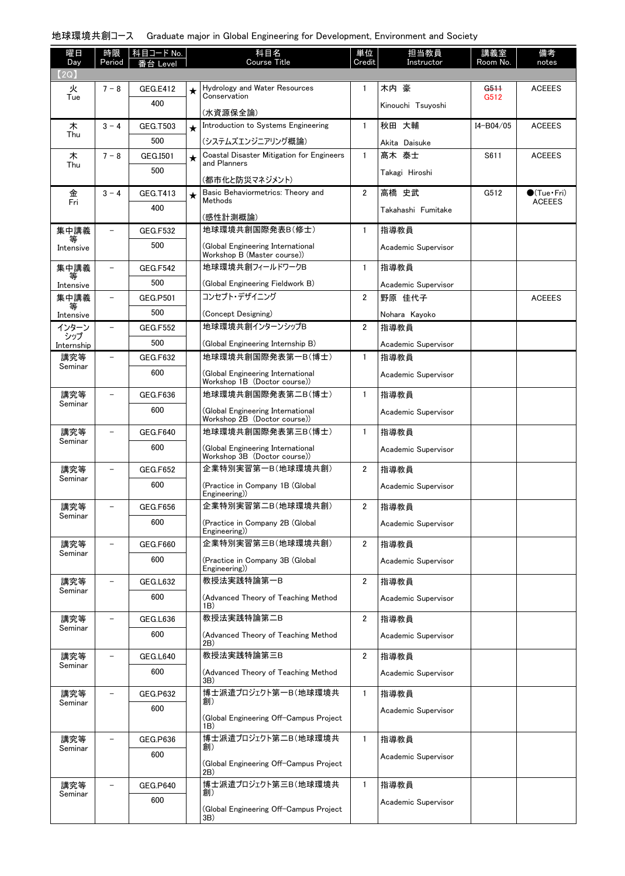| 曜日             | 時限                       | │科目コード No.      |         | 科目名                                                               | 単位             | 担当教員                | 講義室       | 備考                          |
|----------------|--------------------------|-----------------|---------|-------------------------------------------------------------------|----------------|---------------------|-----------|-----------------------------|
| Day<br>(2Q)    | Period                   | Leve            |         | <b>Course Title</b>                                               | Credit         | Instructor          | Room No.  | notes                       |
| 火              | $7 - 8$                  | <b>GEG.E412</b> | ★       | Hydrology and Water Resources                                     | $\mathbf{1}$   | 木内 豪                | G511      | <b>ACEEES</b>               |
| Tue            |                          | 400             |         | Conservation                                                      |                | Kinouchi Tsuyoshi   | G512      |                             |
|                |                          |                 |         | (水資源保全論)                                                          |                |                     |           |                             |
| 木<br>Thu       | $3 - 4$                  | GEG.T503        | $\star$ | Introduction to Systems Engineering                               | $\mathbf{1}$   | 秋田 大輔               | I4-B04/05 | <b>ACEEES</b>               |
|                |                          | 500             |         | (システムズエンジニアリング概論)                                                 |                | Akita Daisuke       |           |                             |
| 木<br>Thu       | $7 - 8$                  | GEG.I501        | $\star$ | Coastal Disaster Mitigation for Engineers<br>and Planners         | $\mathbf{1}$   | 髙木 泰士               | S611      | <b>ACEEES</b>               |
|                |                          | 500             |         | (都市化と防災マネジメント)                                                    |                | Takagi Hiroshi      |           |                             |
| 金              | $3 - 4$                  | GEG.T413        | $\star$ | Basic Behaviormetrics: Theory and                                 | $\overline{2}$ | 高橋 史武               | G512      | $\bullet$ (Tue $\cdot$ Fri) |
| Fri            |                          | 400             |         | Methods                                                           |                | Takahashi Fumitake  |           | <b>ACEEES</b>               |
| 集中講義           | $\overline{\phantom{0}}$ | <b>GEG.F532</b> |         | (感性計測概論)<br>地球環境共創国際発表B(修士)                                       | $\mathbf{1}$   | 指導教員                |           |                             |
| 等              |                          | 500             |         | (Global Engineering International                                 |                |                     |           |                             |
| Intensive      |                          |                 |         | Workshop B (Master course))                                       |                | Academic Supervisor |           |                             |
| 集中講義<br>等      | $\overline{\phantom{0}}$ | <b>GEG.F542</b> |         | 地球環境共創フィールドワークB                                                   | $\mathbf{1}$   | 指導教員                |           |                             |
| Intensive      |                          | 500             |         | (Global Engineering Fieldwork B)                                  |                | Academic Supervisor |           |                             |
| 集中講義<br>等      | $\overline{\phantom{0}}$ | <b>GEG.P501</b> |         | コンヤプト・デザイニング                                                      | $\overline{2}$ | 野原 佳代子              |           | <b>ACEEES</b>               |
| Intensive      |                          | 500             |         | (Concept Designing)                                               |                | Nohara Kayoko       |           |                             |
| インターン<br>シップ   |                          | <b>GEG.F552</b> |         | 地球環境共創インターンシップB                                                   | $\overline{2}$ | 指導教員                |           |                             |
| Internship     |                          | 500             |         | (Global Engineering Internship B)                                 |                | Academic Supervisor |           |                             |
| 講究等<br>Seminar |                          | GEG.F632        |         | 地球環境共創国際発表第一B(博士)                                                 | $\mathbf{1}$   | 指導教員                |           |                             |
|                |                          | 600             |         | (Global Engineering International<br>Workshop 1B (Doctor course)) |                | Academic Supervisor |           |                             |
| 講究等            |                          | GEG.F636        |         | 地球環境共創国際発表第二B(博士)                                                 | $\mathbf{1}$   | 指導教員                |           |                             |
| Seminar        |                          | 600             |         | (Global Engineering International                                 |                | Academic Supervisor |           |                             |
| 講究等            |                          | <b>GEG.F640</b> |         | Workshop 2B (Doctor course))<br>地球環境共創国際発表第三B(博士)                 | $\mathbf{1}$   | 指導教員                |           |                             |
| Seminar        |                          | 600             |         |                                                                   |                |                     |           |                             |
|                |                          |                 |         | (Global Engineering International<br>Workshop 3B (Doctor course)) |                | Academic Supervisor |           |                             |
| 講究等<br>Seminar |                          | <b>GEG.F652</b> |         | 企業特別実習第一B(地球環境共創)                                                 | $\overline{2}$ | 指導教員                |           |                             |
|                |                          | 600             |         | (Practice in Company 1B (Global<br>Engineering)                   |                | Academic Supervisor |           |                             |
| 講究等            | $\overline{\phantom{0}}$ | GEG.F656        |         | 企業特別実習第二B(地球環境共創)                                                 | $\overline{2}$ | 指導教員                |           |                             |
| Seminar        |                          | 600             |         | (Practice in Company 2B (Global)<br>Engineering)                  |                | Academic Supervisor |           |                             |
| 講究等            |                          | <b>GEG.F660</b> |         | 企業特別実習第三B(地球環境共創)                                                 | $\overline{2}$ | 指導教員                |           |                             |
| Seminar        |                          | 600             |         | (Practice in Company 3B (Global)<br>Engineering)                  |                | Academic Supervisor |           |                             |
| 講究等            |                          | GEG.L632        |         | 教授法実践特論第一B                                                        | $\overline{2}$ | 指導教員                |           |                             |
| Seminar        |                          | 600             |         | (Advanced Theory of Teaching Method<br>1B)                        |                | Academic Supervisor |           |                             |
| 講究等            |                          | GEG.L636        |         | 教授法実践特論第二B                                                        | $\overline{2}$ | 指導教員                |           |                             |
| Seminar        |                          | 600             |         | (Advanced Theory of Teaching Method<br>2B)                        |                | Academic Supervisor |           |                             |
| 講究等            |                          | GEG.L640        |         | 教授法実践特論第三B                                                        | $\overline{2}$ | 指導教員                |           |                             |
| Seminar        |                          | 600             |         | (Advanced Theory of Teaching Method<br>3 <sub>B</sub>             |                | Academic Supervisor |           |                             |
| 講究等            |                          | <b>GEG.P632</b> |         | 博士派遣プロジェクト第一B(地球環境共                                               | $\mathbf{1}$   | 指導教員                |           |                             |
| Seminar        |                          | 600             |         | 創)                                                                |                | Academic Supervisor |           |                             |
|                |                          |                 |         | (Global Engineering Off-Campus Project<br>1B)                     |                |                     |           |                             |
| 講究等            |                          | GEG.P636        |         | 博士派遣プロジェクト第二B(地球環境共<br>創)                                         | $\mathbf{1}$   | 指導教員                |           |                             |
| Seminar        |                          | 600             |         |                                                                   |                | Academic Supervisor |           |                             |
|                |                          |                 |         | (Global Engineering Off-Campus Project<br>2B)                     |                |                     |           |                             |
| 講究等<br>Seminar |                          | <b>GEG.P640</b> |         | 博士派遣プロジェクト第三B(地球環境共<br>創)                                         | $\mathbf{1}$   | 指導教員                |           |                             |
|                |                          | 600             |         | (Global Engineering Off-Campus Project                            |                | Academic Supervisor |           |                             |
|                |                          |                 |         | 3B)                                                               |                |                     |           |                             |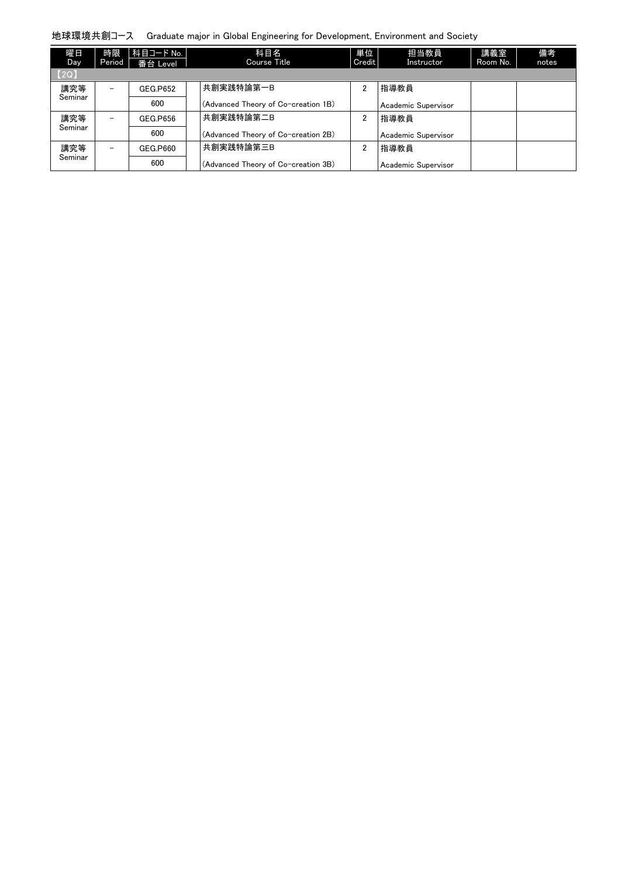| 曜日<br>Day <sup>1</sup> | 時限<br>Period             | 科目コード No.  <br>番台 Level | 科目名<br>Course Title                 | 単位<br>Credit | 担当教員<br>Instructor  | 講義室<br>Room No. | 備考<br>notes |
|------------------------|--------------------------|-------------------------|-------------------------------------|--------------|---------------------|-----------------|-------------|
| [2Q]                   |                          |                         |                                     |              |                     |                 |             |
| 講究等                    | $\overline{\phantom{0}}$ | GEG.P652                | 共創実践特論第一B                           | 2            | 指導教員                |                 |             |
| Seminar                |                          | 600                     | (Advanced Theory of Co-creation 1B) |              | Academic Supervisor |                 |             |
| 講究等                    | $\overline{\phantom{0}}$ | GEG.P656                | 共創実践特論第二B                           | 2            | 指導教員                |                 |             |
| Seminar                |                          | 600                     | (Advanced Theory of Co-creation 2B) |              | Academic Supervisor |                 |             |
| 講究等                    | $\qquad \qquad -$        | GEG.P660                | 共創実践特論第三B                           | 2            | 指導教員                |                 |             |
| Seminar                |                          | 600                     | (Advanced Theory of Co-creation 3B) |              | Academic Supervisor |                 |             |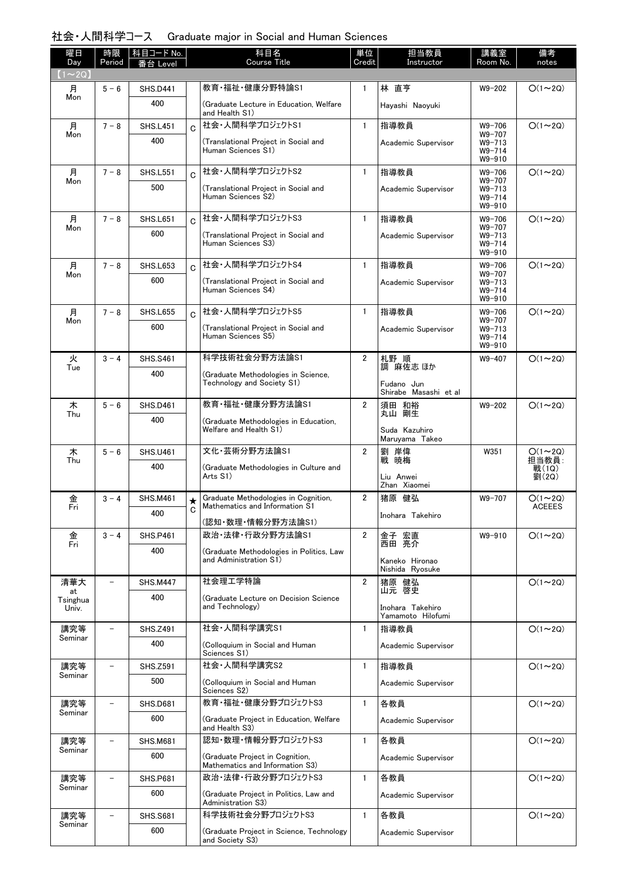### 社会・人間科学コース Graduate major in Social and Human Sciences

| 曜日<br>Day               | 時限<br>Period             | 科目コード No.<br>台 Level |         | 科目名<br><b>Course Title</b>                                             | 単位<br>Credit   | 担当教員<br>Instructor                             | 講義室<br>Room No.                                  | 備考<br>notes             |
|-------------------------|--------------------------|----------------------|---------|------------------------------------------------------------------------|----------------|------------------------------------------------|--------------------------------------------------|-------------------------|
| $(1\sim 2Q)$            |                          |                      |         |                                                                        |                |                                                |                                                  |                         |
| 月                       | $5 - 6$                  | <b>SHS.D441</b>      |         | 教育·福祉·健康分野特論S1                                                         | $\mathbf{1}$   | 林 直亨                                           | W9-202                                           | $O(1\sim 2Q)$           |
| Mon                     |                          | 400                  |         | (Graduate Lecture in Education, Welfare<br>and Health S1)              |                | Hayashi Naoyuki                                |                                                  |                         |
| 月                       | $7 - 8$                  | <b>SHS.L451</b>      | C.      | 社会·人間科学プロジェクトS1                                                        | $\mathbf{1}$   | 指導教員                                           | W9-706                                           | $O(1\sim 2Q)$           |
| Mon                     |                          | 400                  |         | (Translational Project in Social and<br>Human Sciences S1)             |                | Academic Supervisor                            | W9-707<br>$W9 - 713$<br>$W9 - 714$<br>$W9 - 910$ |                         |
| 月                       | $7 - 8$                  | <b>SHS.L551</b>      | Ċ.      | 社会・人間科学プロジェクトS2                                                        | $\mathbf{1}$   | 指導教員                                           | $W9 - 706$                                       | $O(1\sim 2Q)$           |
| Mon                     |                          | 500                  |         | (Translational Project in Social and<br>Human Sciences S2)             |                | Academic Supervisor                            | W9-707<br>W9-713<br>$W9 - 714$<br>$W9 - 910$     |                         |
| 月                       | $7 - 8$                  | <b>SHS.L651</b>      | Ć       | 社会·人間科学プロジェクトS3                                                        | $\mathbf{1}$   | 指導教員                                           | $W9 - 706$<br>W9-707                             | $O(1\sim 2Q)$           |
| Mon                     |                          | 600                  |         | (Translational Project in Social and<br>Human Sciences S3)             |                | Academic Supervisor                            | $W9 - 713$<br>$W9 - 714$<br>$W9 - 910$           |                         |
| 月                       | $7 - 8$                  | <b>SHS.L653</b>      | Ć       | 社会·人間科学プロジェクトS4                                                        | $\mathbf{1}$   | 指導教員                                           | $W9 - 706$<br>W9-707                             | $O(1\sim 2Q)$           |
| Mon                     |                          | 600                  |         | (Translational Project in Social and<br>Human Sciences S4)             |                | Academic Supervisor                            | $W9 - 713$<br>$W9 - 714$<br>$W9 - 910$           |                         |
| 月                       | $7 - 8$                  | <b>SHS.L655</b>      | Ć       | 社会・人間科学プロジェクトS5                                                        | $\mathbf{1}$   | 指導教員                                           | $W9 - 706$<br>W9-707                             | $O(1\sim 2Q)$           |
| Mon                     |                          | 600                  |         | (Translational Project in Social and<br>Human Sciences S5)             |                | Academic Supervisor                            | $W9 - 713$<br>$W9 - 714$<br>W9-910               |                         |
| 火<br>Tue                | $3 - 4$                  | <b>SHS.S461</b>      |         | 科学技術社会分野方法論S1                                                          | $\overline{2}$ | 札野 順<br>調 麻佐志 ほか                               | W9-407                                           | $O(1\sim 2Q)$           |
|                         |                          | 400                  |         | (Graduate Methodologies in Science,<br>Technology and Society S1)      |                | Fudano Jun<br>Shirabe Masashi et al            |                                                  |                         |
| 木<br>Thu                | $5 - 6$                  | <b>SHS.D461</b>      |         | 教育·福祉·健康分野方法論S1                                                        | $\overline{2}$ | 須田 和裕<br>丸山 剛生                                 | $W9 - 202$                                       | $O(1\sim 2Q)$           |
|                         |                          | 400                  |         | (Graduate Methodologies in Education,<br>Welfare and Health S1)        |                | Suda Kazuhiro<br>Maruyama Takeo                |                                                  |                         |
| 木                       | $5 - 6$                  | <b>SHS.U461</b>      |         | 文化·芸術分野方法論S1                                                           | $\overline{2}$ | 劉 岸偉                                           | W351                                             | $O(1 - 2Q)$             |
| Thu                     |                          | 400                  |         | (Graduate Methodologies in Culture and<br>Arts S1)                     |                | 戦 暁梅<br>Liu Anwei<br>Zhan Xiaomei              |                                                  | 担当教員:<br>戦(1Q)<br>劉(2Q) |
| 金                       | $3 - 4$                  | <b>SHS.M461</b>      | $\star$ | Graduate Methodologies in Cognition,<br>Mathematics and Information S1 | $\overline{2}$ | 猪原 健弘                                          | W9-707                                           | $O(1\sim 2Q)$           |
| Fri                     |                          | 400                  | C       | (認知・数理・情報分野方法論S1)                                                      |                | Inohara Takehiro                               |                                                  | <b>ACEEES</b>           |
| 金                       | $3 - 4$                  | <b>SHS.P461</b>      |         | 政治·法律·行政分野方法論S1                                                        | 2              | 金子 宏直                                          | W9-910                                           | $O(1\sim 2Q)$           |
| Fri                     |                          | 400                  |         | (Graduate Methodologies in Politics, Law<br>and Administration S1)     |                | 西田 亮介<br>Kaneko Hironao<br>Nishida Ryosuke     |                                                  |                         |
| 清華大                     | $\qquad \qquad -$        | <b>SHS.M447</b>      |         | 社会理工学特論                                                                | $\overline{2}$ | 猪原 健弘                                          |                                                  | $O(1\sim 2Q)$           |
| at<br>Tsinghua<br>Univ. |                          | 400                  |         | (Graduate Lecture on Decision Science<br>and Technology)               |                | 山元 啓史<br>Inohara Takehiro<br>Yamamoto Hilofumi |                                                  |                         |
| 講究等                     | $\overline{\phantom{0}}$ | <b>SHS.Z491</b>      |         | 社会·人間科学講究S1                                                            | $\mathbf{1}$   | 指導教員                                           |                                                  | $O(1\sim 2Q)$           |
| Seminar                 |                          | 400                  |         | (Colloquium in Social and Human<br>Sciences S1)                        |                | Academic Supervisor                            |                                                  |                         |
| 講究等<br>Seminar          | ۳                        | <b>SHS.Z591</b>      |         | 社会·人間科学講究S2                                                            | 1              | 指導教員                                           |                                                  | $O(1\sim 2Q)$           |
|                         |                          | 500                  |         | (Colloquium in Social and Human<br>Sciences S2)                        |                | Academic Supervisor                            |                                                  |                         |
| 講究等<br>Seminar          | $\overline{\phantom{0}}$ | <b>SHS.D681</b>      |         | 教育・福祉・健康分野プロジェクトS3                                                     | $\mathbf{1}$   | 各教員                                            |                                                  | $O(1\sim 2Q)$           |
|                         |                          | 600                  |         | (Graduate Project in Education, Welfare<br>and Health S3)              |                | Academic Supervisor                            |                                                  |                         |
| 講究等<br>Seminar          | -                        | <b>SHS.M681</b>      |         | 認知・数理・情報分野プロジェクトS3                                                     | $\mathbf{1}$   | 各教員                                            |                                                  | $O(1\sim 2Q)$           |
|                         |                          | 600                  |         | (Graduate Project in Cognition,<br>Mathematics and Information S3)     |                | Academic Supervisor                            |                                                  |                         |
| 講究等<br>Seminar          |                          | <b>SHS.P681</b>      |         | 政治・法律・行政分野プロジェクトS3                                                     | 1              | 各教員                                            |                                                  | $O(1\sim 2Q)$           |
|                         |                          | 600                  |         | (Graduate Project in Politics, Law and<br>Administration S3)           |                | Academic Supervisor                            |                                                  |                         |
| 講究等<br>Seminar          |                          | <b>SHS.S681</b>      |         | 科学技術社会分野プロジェクトS3                                                       | $\mathbf{1}$   | 各教員                                            |                                                  | $O(1\sim 2Q)$           |
|                         |                          | 600                  |         | (Graduate Project in Science, Technology<br>and Society S3)            |                | Academic Supervisor                            |                                                  |                         |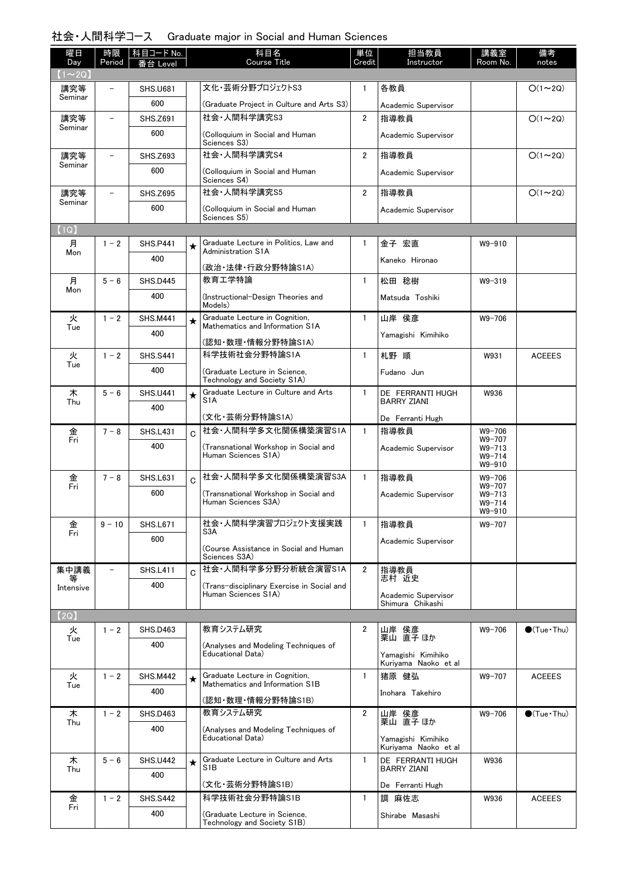# 社会・人間科学コース Graduate major in Social and Human Sciences

| 曜日                  | 時限                       | 科目コード No.       |             | 科目名                                                                | 単位             | 担当教員                                       | 講義室                  | 備考                     |
|---------------------|--------------------------|-----------------|-------------|--------------------------------------------------------------------|----------------|--------------------------------------------|----------------------|------------------------|
| Day                 | Period                   | Level           |             | <b>Course Title</b>                                                | Credit         | Instructor                                 | Room No.             | notes                  |
| $(1\sim 2Q)$<br>講究等 |                          | <b>SHS.U681</b> |             | 文化・芸術分野プロジェクトS3                                                    | $\mathbf{1}$   | 各教員                                        |                      | $O(1\sim 2Q)$          |
| Seminar             |                          | 600             |             | (Graduate Project in Culture and Arts S3)                          |                | Academic Supervisor                        |                      |                        |
| 講究等                 | $\overline{\phantom{0}}$ | <b>SHS.Z691</b> |             | 社会·人間科学講究S3                                                        | $\overline{2}$ | 指導教員                                       |                      | $O(1\sim 2Q)$          |
| Seminar             |                          | 600             |             | (Colloquium in Social and Human                                    |                | Academic Supervisor                        |                      |                        |
|                     |                          |                 |             | Sciences S3)                                                       |                |                                            |                      |                        |
| 講究等<br>Seminar      | $\overline{\phantom{0}}$ | <b>SHS.Z693</b> |             | 社会·人間科学講究S4                                                        | $\overline{2}$ | 指導教員                                       |                      | $O(1\sim 2Q)$          |
|                     |                          | 600             |             | (Colloquium in Social and Human<br>Sciences S4)                    |                | Academic Supervisor                        |                      |                        |
| 講究等                 | $\overline{\phantom{0}}$ | <b>SHS.Z695</b> |             | 社会·人間科学講究S5                                                        | $\overline{2}$ | 指導教員                                       |                      | $O(1\sim 2Q)$          |
| Seminar             |                          | 600             |             | (Colloquium in Social and Human<br>Sciences S5)                    |                | Academic Supervisor                        |                      |                        |
| (1Q)                |                          |                 |             |                                                                    |                |                                            |                      |                        |
| 月                   | $1 - 2$                  | <b>SHS.P441</b> | ★           | Graduate Lecture in Politics, Law and<br><b>Administration S1A</b> | $\mathbf{1}$   | 金子 宏直                                      | W9-910               |                        |
| Mon                 |                          | 400             |             |                                                                    |                | Kaneko Hironao                             |                      |                        |
| 月                   | $5 - 6$                  | <b>SHS.D445</b> |             | (政治・法律・行政分野特論S1A)<br>教育工学特論                                        | $\mathbf{1}$   | 松田 稔樹                                      | $W9 - 319$           |                        |
| Mon                 |                          | 400             |             |                                                                    |                |                                            |                      |                        |
|                     |                          |                 |             | (Instructional-Design Theories and<br>Models)                      |                | Matsuda Toshiki                            |                      |                        |
| 火                   | $1 - 2$                  | <b>SHS.M441</b> | ★           | Graduate Lecture in Cognition,<br>Mathematics and Information S1A  | $\mathbf{1}$   | 山岸 侯彦                                      | $W9 - 706$           |                        |
| Tue                 |                          | 400             |             |                                                                    |                | Yamagishi Kimihiko                         |                      |                        |
| 火                   | $1 - 2$                  | <b>SHS.S441</b> |             | (認知·数理·情報分野特論S1A)<br>科学技術社会分野特論S1A                                 | $\mathbf{1}$   | 札野 順                                       | W931                 | <b>ACEEES</b>          |
| Tue                 |                          | 400             |             |                                                                    |                |                                            |                      |                        |
|                     |                          |                 |             | (Graduate Lecture in Science,<br>Technology and Society S1A)       |                | Fudano Jun                                 |                      |                        |
| 木<br>Thu            | $5 - 6$                  | <b>SHS.U441</b> | $\star$     | Graduate Lecture in Culture and Arts<br>S <sub>1</sub> A           | $\mathbf{1}$   | DE FERRANTI HUGH<br><b>BARRY ZIANI</b>     | W936                 |                        |
|                     |                          | 400             |             | (文化·芸術分野特論S1A)                                                     |                | De Ferranti Hugh                           |                      |                        |
| 金                   | $7 - 8$                  | <b>SHS.L431</b> | C.          | 社会·人間科学多文化関係構築演習S1A                                                | $\mathbf{1}$   | 指導教員                                       | $W9 - 706$           |                        |
| Fri                 |                          | 400             |             | (Transnational Workshop in Social and                              |                | Academic Supervisor                        | W9-707<br>$W9 - 713$ |                        |
|                     |                          |                 |             | Human Sciences S1A)                                                |                |                                            | $W9 - 714$<br>W9-910 |                        |
| 金                   | $7 - 8$                  | <b>SHS.L631</b> | $\mathbf C$ | 社会·人間科学多文化関係構築演習S3A                                                | $\mathbf{1}$   | 指導教員                                       | $W9 - 706$           |                        |
| Fri                 |                          | 600             |             | (Transnational Workshop in Social and                              |                | Academic Supervisor                        | W9-707<br>$W9 - 713$ |                        |
|                     |                          |                 |             | Human Sciences S3A)                                                |                |                                            | $W9 - 714$<br>W9-910 |                        |
| 金                   | $9 - 10$                 | <b>SHS.L671</b> |             | 社会・人間科学演習プロジェクト支援実践                                                | $\mathbf{1}$   | 指導教員                                       | W9-707               |                        |
| Fri                 |                          | 600             |             | S3A                                                                |                | Academic Supervisor                        |                      |                        |
|                     |                          |                 |             | (Course Assistance in Social and Human<br>Sciences S3A)            |                |                                            |                      |                        |
| 集中講義                |                          | <b>SHS.L411</b> | Ć           | 社会·人間科学多分野分析統合演習S1A                                                | $\overline{2}$ | 指導教員                                       |                      |                        |
| ₩<br>Intensive      |                          | 400             |             | (Trans-disciplinary Exercise in Social and                         |                | 志村 近史                                      |                      |                        |
|                     |                          |                 |             | Human Sciences S1A)                                                |                | Academic Supervisor<br>Shimura Chikashi    |                      |                        |
| (2Q)                |                          |                 |             |                                                                    |                |                                            |                      |                        |
| 火                   | $1 - 2$                  | <b>SHS.D463</b> |             | 教育システム研究                                                           | $\overline{2}$ | 山岸 侯彦<br>栗山 直子 ほか                          | W9-706               | $\bigcirc$ (Tue · Thu) |
| Tue                 |                          | 400             |             | (Analyses and Modeling Techniques of                               |                |                                            |                      |                        |
|                     |                          |                 |             | Educational Data)                                                  |                | Yamagishi Kimihiko<br>Kuriyama Naoko et al |                      |                        |
| 火                   | $1 - 2$                  | <b>SHS.M442</b> | $\star$     | Graduate Lecture in Cognition,                                     | $\mathbf{1}$   | 猪原 健弘                                      | W9-707               | <b>ACEEES</b>          |
| Tue                 |                          | 400             |             | Mathematics and Information S1B                                    |                | Inohara Takehiro                           |                      |                        |
|                     |                          |                 |             | (認知・数理・情報分野特論S1B)                                                  |                |                                            |                      |                        |
| 木<br>Thu            | $1 - 2$                  | <b>SHS.D463</b> |             | 教育システム研究                                                           | $\overline{2}$ | 山岸 侯彦<br>栗山 直子 ほか                          | W9-706               | $\bullet$ (Tue • Thu)  |
|                     |                          | 400             |             | (Analyses and Modeling Techniques of<br>Educational Data)          |                | Yamagishi Kimihiko                         |                      |                        |
|                     |                          |                 |             |                                                                    |                | Kuriyama Naoko et al                       |                      |                        |
| 木<br>Thu            | $5 - 6$                  | <b>SHS.U442</b> | $\star$     | Graduate Lecture in Culture and Arts<br>S <sub>1</sub> B           | $\mathbf{1}$   | DE FERRANTI HUGH<br><b>BARRY ZIANI</b>     | W936                 |                        |
|                     |                          | 400             |             | (文化·芸術分野特論S1B)                                                     |                | De Ferranti Hugh                           |                      |                        |
| 金                   | $1 - 2$                  | <b>SHS.S442</b> |             | 科学技術社会分野特論S1B                                                      | $\mathbf{1}$   | 調<br>麻佐志                                   | W936                 | <b>ACEEES</b>          |
| Fri                 |                          | 400             |             | (Graduate Lecture in Science.                                      |                | Shirabe Masashi                            |                      |                        |
|                     |                          |                 |             | Technology and Society S1B)                                        |                |                                            |                      |                        |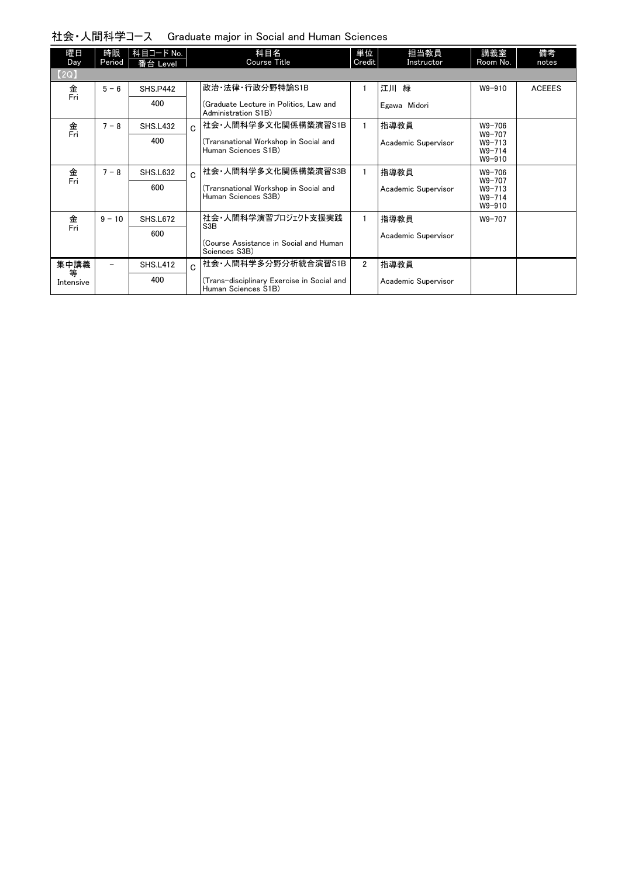| 社会・人間科学コース Graduate major in Social and Human Sciences |  |  |  |
|--------------------------------------------------------|--|--|--|
|--------------------------------------------------------|--|--|--|

| 曜日<br>Day      | 時限<br>Period | 科目コード No.<br>番台 Level |              | 科目名<br><b>Course Title</b>                                        | 単位<br>Credit   | 担当教員<br>Instructor  | 講義室<br>Room No.                              | 備考<br>notes   |
|----------------|--------------|-----------------------|--------------|-------------------------------------------------------------------|----------------|---------------------|----------------------------------------------|---------------|
| [2Q]           |              |                       |              |                                                                   |                |                     |                                              |               |
| 金              | $5 - 6$      | <b>SHS.P442</b>       |              | 政治·法律·行政分野特論S1B                                                   |                | 江川緑                 | $W9 - 910$                                   | <b>ACEEES</b> |
| Fri            |              | 400                   |              | (Graduate Lecture in Politics, Law and<br>Administration S1B)     |                | Egawa Midori        |                                              |               |
| 金<br>Fri       | $7 - 8$      | <b>SHS.L432</b>       | C.           | 社会·人間科学多文化関係構築演習S1B                                               |                | 指導教員                | $W9 - 706$                                   |               |
|                |              | 400                   |              | (Transnational Workshop in Social and<br>Human Sciences S1B)      |                | Academic Supervisor | W9-707<br>$W9 - 713$<br>$W9 - 714$<br>W9-910 |               |
| 金<br>Fri       | $7 - 8$      | <b>SHS.L632</b>       | $\mathbf C$  | 社会·人間科学多文化関係構築演習S3B                                               |                | 指導教員                | $W9 - 706$                                   |               |
|                |              | 600                   |              | (Transnational Workshop in Social and<br>Human Sciences S3B)      |                | Academic Supervisor | W9-707<br>$W9 - 713$<br>$W9 - 714$<br>W9-910 |               |
| 金<br>Fri       | $9 - 10$     | <b>SHS.L672</b>       |              | 社会・人間科学演習プロジェクト支援実践<br>S <sub>3</sub> B                           |                | 指導教員                | $W9 - 707$                                   |               |
|                |              | 600                   |              |                                                                   |                | Academic Supervisor |                                              |               |
|                |              |                       |              | (Course Assistance in Social and Human<br>Sciences S3B)           |                |                     |                                              |               |
| 集中講義           |              | <b>SHS.L412</b>       | $\mathsf{C}$ | 社会·人間科学多分野分析統合演習S1B                                               | $\overline{2}$ | 指導教員                |                                              |               |
| 等<br>Intensive |              | 400                   |              | (Trans-disciplinary Exercise in Social and<br>Human Sciences S1B) |                | Academic Supervisor |                                              |               |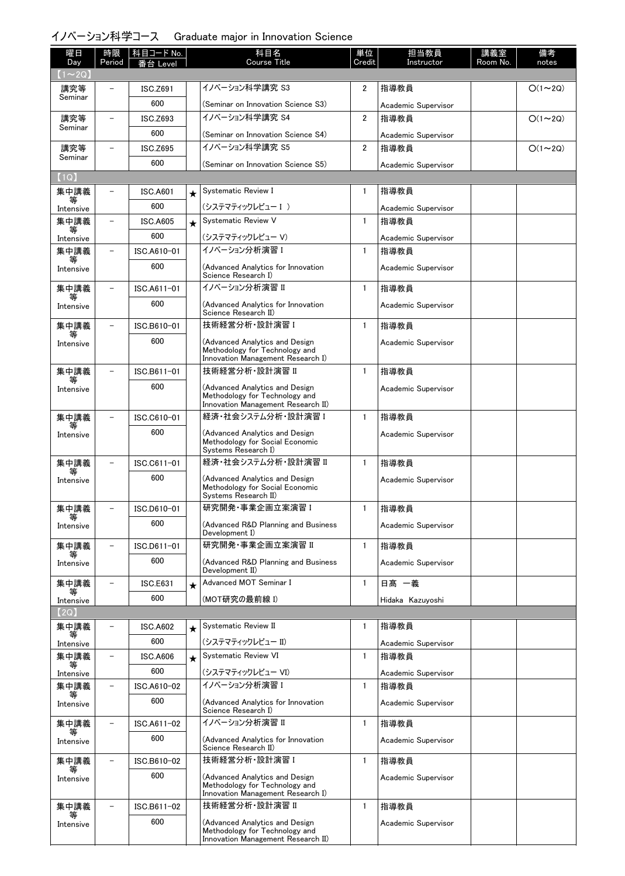# イノベーション科学コース Graduate major in Innovation Science

| 曜日                 | 時限                       | 科目コード No.       |            | 科目名                                                               | 単位             | 担当教員                | 講義室      | 備考            |
|--------------------|--------------------------|-----------------|------------|-------------------------------------------------------------------|----------------|---------------------|----------|---------------|
| Day<br>$(1\sim2Q)$ | Period                   | Level           |            | Course Title                                                      | Credit         | Instructor          | Room No. | notes         |
| 講究等                |                          | ISC.Z691        |            | イノベーション科学講究 S3                                                    | 2              | 指導教員                |          | $O(1\sim 2Q)$ |
| Seminar            |                          | 600             |            | (Seminar on Innovation Science S3)                                |                | Academic Supervisor |          |               |
| 講究等                | $\overline{\phantom{0}}$ | ISC.Z693        |            | イノベーション科学講究 S4                                                    | $\overline{2}$ | 指導教員                |          | $O(1\sim 2Q)$ |
| Seminar            |                          | 600             |            | (Seminar on Innovation Science S4)                                |                | Academic Supervisor |          |               |
| 講究等                |                          | <b>ISC.Z695</b> |            | イノベーション科学講究 S5                                                    | $\overline{2}$ | 指導教員                |          | $O(1\sim 2Q)$ |
| Seminar            |                          | 600             |            | (Seminar on Innovation Science S5)                                |                | Academic Supervisor |          |               |
| (1Q)               |                          |                 |            |                                                                   |                |                     |          |               |
| 集中講義               |                          | <b>ISC.A601</b> | $\star$    | Systematic Review I                                               | $\mathbf{1}$   | 指導教員                |          |               |
| 等<br>Intensive     |                          | 600             |            | (システマティックレビュー I)                                                  |                | Academic Supervisor |          |               |
| 集中講義               |                          | <b>ISC.A605</b> | $\star$    | <b>Systematic Review V</b>                                        | $\mathbf{1}$   | 指導教員                |          |               |
| Intensive          |                          | 600             |            | (システマティックレビュー V)                                                  |                | Academic Supervisor |          |               |
| 集中講義               |                          | ISC.A610-01     |            | イノベーション分析演習 I                                                     | $\mathbf{1}$   | 指導教員                |          |               |
| 等<br>Intensive     |                          | 600             |            | (Advanced Analytics for Innovation                                |                | Academic Supervisor |          |               |
|                    |                          |                 |            | Science Research I)                                               |                |                     |          |               |
| 集中講義               |                          | ISC.A611-01     |            | イノベーション分析演習 Ⅱ                                                     | $\mathbf{1}$   | 指導教員                |          |               |
| Intensive          |                          | 600             |            | (Advanced Analytics for Innovation<br>Science Research II)        |                | Academic Supervisor |          |               |
| 集中講義               |                          | ISC.B610-01     |            | 技術経営分析·設計演習 I                                                     | $\mathbf{1}$   | 指導教員                |          |               |
|                    |                          | 600             |            |                                                                   |                |                     |          |               |
| Intensive          |                          |                 |            | (Advanced Analytics and Design<br>Methodology for Technology and  |                | Academic Supervisor |          |               |
|                    |                          | ISC.B611-01     |            | Innovation Management Research I)<br>技術経営分析·設計演習 II               | $\mathbf{1}$   |                     |          |               |
| 集中講義<br>等          |                          | 600             |            |                                                                   |                | 指導教員                |          |               |
| Intensive          |                          |                 |            | (Advanced Analytics and Design<br>Methodology for Technology and  |                | Academic Supervisor |          |               |
|                    |                          |                 |            | Innovation Management Research II)                                |                |                     |          |               |
| 集中講義<br>等          | $\overline{\phantom{0}}$ | ISC.C610-01     |            | 経済・社会システム分析・設計演習 I                                                | $\mathbf{1}$   | 指導教員                |          |               |
| Intensive          |                          | 600             |            | (Advanced Analytics and Design<br>Methodology for Social Economic |                | Academic Supervisor |          |               |
|                    |                          |                 |            | Systems Research I)                                               |                |                     |          |               |
| 集中講義<br>等          |                          | ISC.C611-01     |            | 経済・社会システム分析・設計演習 Ⅱ                                                | $\mathbf{1}$   | 指導教員                |          |               |
| Intensive          |                          | 600             |            | (Advanced Analytics and Design<br>Methodology for Social Economic |                | Academic Supervisor |          |               |
|                    |                          |                 |            | Systems Research II)                                              |                |                     |          |               |
| 集中講義<br>等          |                          | ISC.D610-01     |            | 研究開発·事業企画立案演習 I                                                   | $\mathbf{1}$   | 指導教員                |          |               |
| Intensive          |                          | 600             |            | (Advanced R&D Planning and Business<br>Development I)             |                | Academic Supervisor |          |               |
| 集中講義               |                          | ISC.D611-01     |            | 研究開発·事業企画立案演習 II                                                  | $\mathbf{1}$   | 指導教員                |          |               |
| ₩<br>Intensive     |                          | 600             |            | (Advanced R&D Planning and Business                               |                | Academic Supervisor |          |               |
|                    |                          |                 |            | Development II)                                                   |                |                     |          |               |
| 集中講義<br>等          |                          | <b>ISC.E631</b> | $\bigstar$ | Advanced MOT Seminar I                                            | $\mathbf{1}$   | 日髙 一義               |          |               |
| Intensive          |                          | 600             |            | (MOT研究の最前線 I)                                                     |                | Hidaka Kazuyoshi    |          |               |
| (2Q)               |                          |                 |            |                                                                   |                |                     |          |               |
| 集中講義               |                          | <b>ISC.A602</b> | $\star$    | Systematic Review II                                              | 1              | 指導教員                |          |               |
| Intensive          |                          | 600             |            | (システマティックレビュー II)                                                 |                | Academic Supervisor |          |               |
| 集中講義<br>等          | $\equiv$                 | ISC.A606        | $\star$    | Systematic Review VI                                              | $\mathbf{1}$   | 指導教員                |          |               |
| Intensive          |                          | 600             |            | (システマティックレビュー VI)                                                 |                | Academic Supervisor |          |               |
| 集中講義<br>等          | $\overline{\phantom{0}}$ | ISC.A610-02     |            | イノベーション分析演習 I                                                     | $\mathbf{1}$   | 指導教員                |          |               |
| Intensive          |                          | 600             |            | (Advanced Analytics for Innovation<br>Science Research I)         |                | Academic Supervisor |          |               |
| 集中講義               | $\overline{\phantom{0}}$ | ISC.A611-02     |            | イノベーション分析演習 II                                                    | $\mathbf{1}$   | 指導教員                |          |               |
| 等<br>Intensive     |                          | 600             |            | (Advanced Analytics for Innovation                                |                | Academic Supervisor |          |               |
|                    |                          |                 |            | Science Research II)                                              |                |                     |          |               |
| 集中講義<br>等          | $\overline{\phantom{a}}$ | ISC.B610-02     |            | 技術経営分析 設計演習 I                                                     | $\mathbf{1}$   | 指導教員                |          |               |
| Intensive          |                          | 600             |            | (Advanced Analytics and Design<br>Methodology for Technology and  |                | Academic Supervisor |          |               |
|                    |                          |                 |            | Innovation Management Research I)                                 |                |                     |          |               |
| 集中講義               |                          | ISC.B611-02     |            | 技術経営分析·設計演習 II                                                    | $\mathbf{1}$   | 指導教員                |          |               |
| Intensive          |                          | 600             |            | (Advanced Analytics and Design<br>Methodology for Technology and  |                | Academic Supervisor |          |               |
|                    |                          |                 |            | Innovation Management Research II)                                |                |                     |          |               |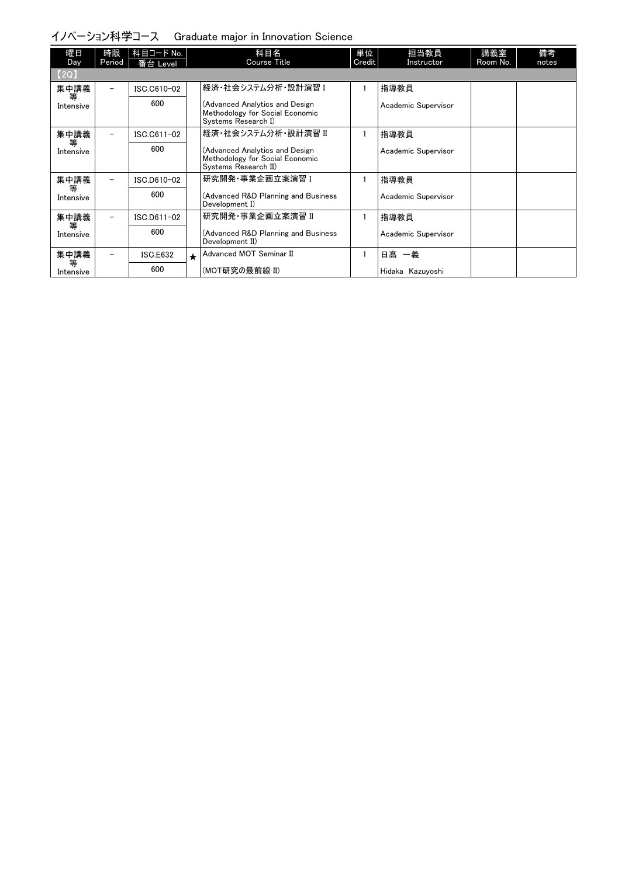# イノベーション科学コース Graduate major in Innovation Science

| 曜日<br>Day      | 時限<br>Period             | 科目コード No.<br>番台 Level |         | 科目名<br>Course Title                                                                       | 単位<br>Credit | 担当教員<br>Instructor  | 講義室<br>Room No. | 備考<br>notes |
|----------------|--------------------------|-----------------------|---------|-------------------------------------------------------------------------------------------|--------------|---------------------|-----------------|-------------|
| (2Q)           |                          |                       |         |                                                                                           |              |                     |                 |             |
| 集中講義           | $\overline{\phantom{0}}$ | ISC.C610-02           |         | 経済・社会システム分析・設計演習 I                                                                        |              | 指導教員                |                 |             |
| 等<br>Intensive |                          | 600                   |         | (Advanced Analytics and Design<br>Methodology for Social Economic<br>Systems Research I)  |              | Academic Supervisor |                 |             |
| 集中講義           | $\overline{\phantom{0}}$ | ISC.C611-02           |         | 経済・社会システム分析・設計演習 Ⅱ                                                                        |              | 指導教員                |                 |             |
| 等<br>Intensive |                          | 600                   |         | (Advanced Analytics and Design<br>Methodology for Social Economic<br>Systems Research II) |              | Academic Supervisor |                 |             |
| 集中講義           | $\overline{\phantom{0}}$ | ISC.D610-02           |         | 研究開発・事業企画立案演習 I                                                                           |              | 指導教員                |                 |             |
| 等<br>Intensive |                          | 600                   |         | (Advanced R&D Planning and Business<br>Development I)                                     |              | Academic Supervisor |                 |             |
| 集中講義           | $\overline{\phantom{0}}$ | ISC.D611-02           |         | 研究開発·事業企画立案演習 II                                                                          |              | 指導教員                |                 |             |
| 等<br>Intensive |                          | 600                   |         | (Advanced R&D Planning and Business<br>Development II)                                    |              | Academic Supervisor |                 |             |
| 集中講義           |                          | <b>ISC.E632</b>       | $\star$ | Advanced MOT Seminar II                                                                   |              | 日髙<br>一義            |                 |             |
| 等<br>Intensive |                          | 600                   |         | (MOT研究の最前線 II)                                                                            |              | Hidaka Kazuyoshi    |                 |             |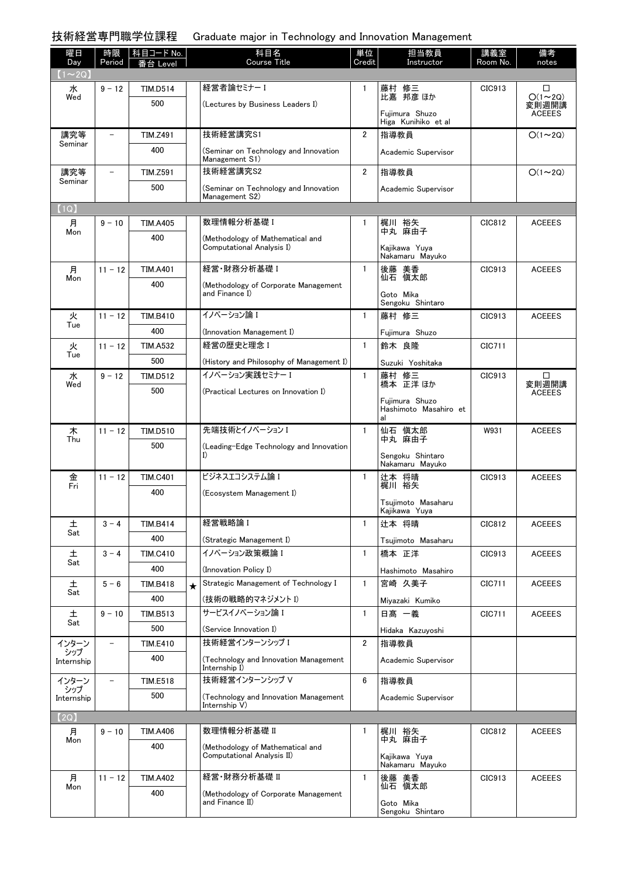技術経営専門職学位課程 Graduate major in Technology and Innovation Management

| 曜日<br>Day         | 時限<br>Period             | 科目コード No.<br>番台 Level |         | 科目名<br>Course Title                                           | 単位<br>Credit   | 担当教員<br>Instructor                            | 講義室<br>Room No. | 備考<br>notes            |
|-------------------|--------------------------|-----------------------|---------|---------------------------------------------------------------|----------------|-----------------------------------------------|-----------------|------------------------|
| $(1\sim 2Q)$      |                          |                       |         |                                                               |                |                                               |                 |                        |
| 水<br>Wed          | $9 - 12$                 | <b>TIM.D514</b>       |         | 経営者論セミナーI                                                     | $\mathbf{1}$   | 藤村 修三<br>比嘉 邦彦 ほか                             | CIC913          | ◻<br>$O(1\sim 2Q)$     |
|                   |                          | 500                   |         | (Lectures by Business Leaders I)                              |                | Fuiimura Shuzo<br>Higa Kunihiko et al         |                 | 変則週開講<br><b>ACEEES</b> |
| 講究等               | $\overline{\phantom{a}}$ | <b>TIM.Z491</b>       |         | 技術経営講究S1                                                      | $\overline{2}$ | 指導教員                                          |                 | $O(1\sim 2Q)$          |
| Seminar           |                          | 400                   |         | (Seminar on Technology and Innovation<br>Management S1)       |                | Academic Supervisor                           |                 |                        |
| 講究等<br>Seminar    | $\qquad \qquad -$        | <b>TIM.Z591</b>       |         | 技術経営講究S2                                                      | 2              | 指導教員                                          |                 | $O(1\sim 2Q)$          |
|                   |                          | 500                   |         | (Seminar on Technology and Innovation<br>Management S2)       |                | Academic Supervisor                           |                 |                        |
| (1Q)              |                          |                       |         |                                                               |                |                                               |                 |                        |
| 月<br>Mon          | $9 - 10$                 | <b>TIM.A405</b>       |         | 数理情報分析基礎 I                                                    | $\mathbf{1}$   | 梶川 裕矢<br>中丸 麻由子                               | CIC812          | <b>ACEEES</b>          |
|                   |                          | 400                   |         | (Methodology of Mathematical and<br>Computational Analysis I) |                | Kaiikawa Yuva<br>Nakamaru Mayuko              |                 |                        |
| 月                 | $11 - 12$                | <b>TIM.A401</b>       |         | 経営・財務分析基礎 I                                                   | $\mathbf{1}$   | 後藤 美香<br>仙石 愼太郎                               | CIC913          | <b>ACEEES</b>          |
| Mon               |                          | 400                   |         | (Methodology of Corporate Management<br>and Finance I)        |                | Goto Mika                                     |                 |                        |
| 火                 | $11 - 12$                | <b>TIM.B410</b>       |         | イノベーション論 I                                                    | $\mathbf{1}$   | Sengoku Shintaro<br>藤村 修三                     | CIC913          | <b>ACEEES</b>          |
| Tue               |                          | 400                   |         |                                                               |                |                                               |                 |                        |
| 火                 | $11 - 12$                | <b>TIM.A532</b>       |         | (Innovation Management I)<br>経営の歴史と理念 I                       | $\mathbf{1}$   | Fujimura Shuzo<br>鈴木 良隆                       | CIC711          |                        |
| Tue               |                          | 500                   |         |                                                               |                |                                               |                 |                        |
| 水                 | $9 - 12$                 | TIM.D512              |         | (History and Philosophy of Management I)<br>イノベーション実践セミナー I   | $\mathbf{1}$   | Suzuki Yoshitaka                              | CIC913          | ⊔                      |
| Wed               |                          | 500                   |         |                                                               |                | 藤村 修三<br>橋本 正洋ほか                              |                 | 変則週開講                  |
|                   |                          |                       |         | (Practical Lectures on Innovation I)                          |                | Fujimura Shuzo<br>Hashimoto Masahiro et<br>al |                 | <b>ACEEES</b>          |
| 木                 | $11 - 12$                | <b>TIM.D510</b>       |         | 先端技術とイノベーション I                                                | $\mathbf{1}$   | 仙石 慎太郎                                        | W931            | <b>ACEEES</b>          |
| Thu               |                          | 500                   |         | (Leading-Edge Technology and Innovation                       |                | 中丸 麻由子                                        |                 |                        |
|                   |                          |                       |         | I)                                                            |                | Sengoku Shintaro<br>Nakamaru Mayuko           |                 |                        |
| 金                 | $11 - 12$                | <b>TIM.C401</b>       |         | ビジネスエコシステム論 I                                                 | $\mathbf{1}$   | 辻本 将晴                                         | CIC913          | <b>ACEEES</b>          |
| Fri               |                          | 400                   |         | (Ecosystem Management I)                                      |                | 梶川 裕矢                                         |                 |                        |
|                   |                          |                       |         |                                                               |                | Tsujimoto Masaharu<br>Kajikawa Yuya           |                 |                        |
| 土                 | $3 - 4$                  | TIM.B414              |         | 経営戦略論 I                                                       | $\mathbf{1}$   | 辻本 将晴                                         | CIC812          | <b>ACEEES</b>          |
| Sat               |                          | 400                   |         | (Strategic Management I)                                      |                | Tsujimoto Masaharu                            |                 |                        |
| 土                 | $3 - 4$                  | <b>TIM.C410</b>       |         | イノベーション政策概論 I                                                 | $\mathbf{1}$   | 橋本 正洋                                         | CIC913          | <b>ACEEES</b>          |
| Sat               |                          | 400                   |         | (Innovation Policy I)                                         |                | Hashimoto Masahiro                            |                 |                        |
| 土                 | $5 - 6$                  | <b>TIM.B418</b>       | $\star$ | Strategic Management of Technology I                          | $\mathbf{1}$   | 宮崎 久美子                                        | CIC711          | <b>ACEEES</b>          |
| Sat               |                          | 400                   |         | (技術の戦略的マネジメント I)                                              |                | Miyazaki Kumiko                               |                 |                        |
| 土                 | $9 - 10$                 | TIM.B513              |         | サービスイノベーション論 I                                                | $\mathbf{1}$   | 日髙 一義                                         | CIC711          | <b>ACEEES</b>          |
| Sat               |                          | 500                   |         | (Service Innovation I)                                        |                | Hidaka Kazuyoshi                              |                 |                        |
| インターン             | $\qquad \qquad -$        | <b>TIM.E410</b>       |         | 技術経営インターンシップ I                                                | $\overline{2}$ | 指導教員                                          |                 |                        |
| シップ<br>Internship |                          | 400                   |         | (Technology and Innovation Management<br>Internship I)        |                | Academic Supervisor                           |                 |                        |
| インターン<br>シップ      |                          | <b>TIM.E518</b>       |         | 技術経営インターンシップ V                                                | 6              | 指導教員                                          |                 |                        |
| Internship        |                          | 500                   |         | (Technology and Innovation Management<br>Internship V)        |                | Academic Supervisor                           |                 |                        |
| [2Q]              |                          |                       |         |                                                               |                |                                               |                 |                        |
| 月                 | $9 - 10$                 | TIM.A406              |         | 数理情報分析基礎 II                                                   | $\mathbf{1}$   | 梶川 裕矢<br>中丸 麻由子                               | CIC812          | <b>ACEEES</b>          |
| Mon               |                          | 400                   |         | (Methodology of Mathematical and                              |                |                                               |                 |                        |
|                   |                          |                       |         | Computational Analysis II)                                    |                | Kajikawa Yuya<br>Nakamaru Mayuko              |                 |                        |
| 月<br>Mon          | $11 - 12$                | <b>TIM.A402</b>       |         | 経営・財務分析基礎 II                                                  | $\mathbf{1}$   | 後藤 美香<br>仙石 愼太郎                               | CIC913          | <b>ACEEES</b>          |
|                   |                          | 400                   |         | (Methodology of Corporate Management<br>and Finance II)       |                | Goto Mika<br>Sengoku Shintaro                 |                 |                        |
|                   |                          |                       |         |                                                               |                |                                               |                 |                        |